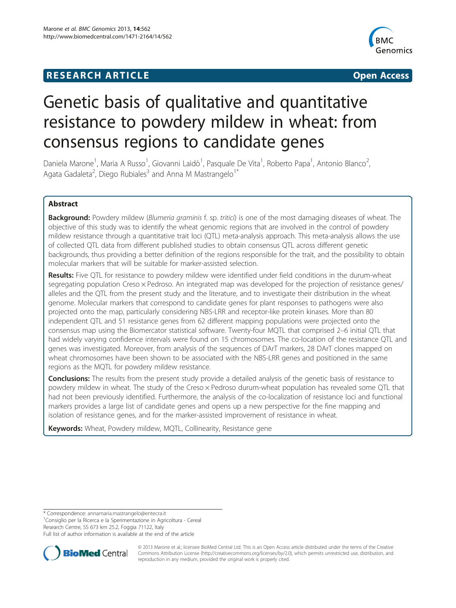## **RESEARCH ARTICLE CONSUMING A RESEARCH ARTICLE**



# Genetic basis of qualitative and quantitative resistance to powdery mildew in wheat: from consensus regions to candidate genes

Daniela Marone<sup>1</sup>, Maria A Russo<sup>1</sup>, Giovanni Laidò<sup>1</sup>, Pasquale De Vita<sup>1</sup>, Roberto Papa<sup>1</sup>, Antonio Blanco<sup>2</sup> .<br>, Agata Gadaleta<sup>2</sup>, Diego Rubiales<sup>3</sup> and Anna M Mastrangelo<sup>1\*</sup>

## Abstract

Background: Powdery mildew (Blumeria graminis f. sp. tritici) is one of the most damaging diseases of wheat. The objective of this study was to identify the wheat genomic regions that are involved in the control of powdery mildew resistance through a quantitative trait loci (QTL) meta-analysis approach. This meta-analysis allows the use of collected QTL data from different published studies to obtain consensus QTL across different genetic backgrounds, thus providing a better definition of the regions responsible for the trait, and the possibility to obtain molecular markers that will be suitable for marker-assisted selection.

Results: Five QTL for resistance to powdery mildew were identified under field conditions in the durum-wheat segregating population Creso × Pedroso. An integrated map was developed for the projection of resistance genes/ alleles and the QTL from the present study and the literature, and to investigate their distribution in the wheat genome. Molecular markers that correspond to candidate genes for plant responses to pathogens were also projected onto the map, particularly considering NBS-LRR and receptor-like protein kinases. More than 80 independent QTL and 51 resistance genes from 62 different mapping populations were projected onto the consensus map using the Biomercator statistical software. Twenty-four MQTL that comprised 2–6 initial QTL that had widely varying confidence intervals were found on 15 chromosomes. The co-location of the resistance QTL and genes was investigated. Moreover, from analysis of the sequences of DArT markers, 28 DArT clones mapped on wheat chromosomes have been shown to be associated with the NBS-LRR genes and positioned in the same regions as the MQTL for powdery mildew resistance.

Conclusions: The results from the present study provide a detailed analysis of the genetic basis of resistance to powdery mildew in wheat. The study of the Creso x Pedroso durum-wheat population has revealed some QTL that had not been previously identified. Furthermore, the analysis of the co-localization of resistance loci and functional markers provides a large list of candidate genes and opens up a new perspective for the fine mapping and isolation of resistance genes, and for the marker-assisted improvement of resistance in wheat.

Keywords: Wheat, Powdery mildew, MQTL, Collinearity, Resistance gene

<sup>1</sup> Consiglio per la Ricerca e la Sperimentazione in Agricoltura - Cereal Research Centre, SS 673 km 25.2, Foggia 71122, Italy

Full list of author information is available at the end of the article



© 2013 Marone et al.; licensee BioMed Central Ltd. This is an Open Access article distributed under the terms of the Creative Commons Attribution License [\(http://creativecommons.org/licenses/by/2.0\)](http://creativecommons.org/licenses/by/2.0), which permits unrestricted use, distribution, and reproduction in any medium, provided the original work is properly cited.

<sup>\*</sup> Correspondence: [annamaria.mastrangelo@entecra.it](mailto:annamaria.mastrangelo@entecra.it) <sup>1</sup>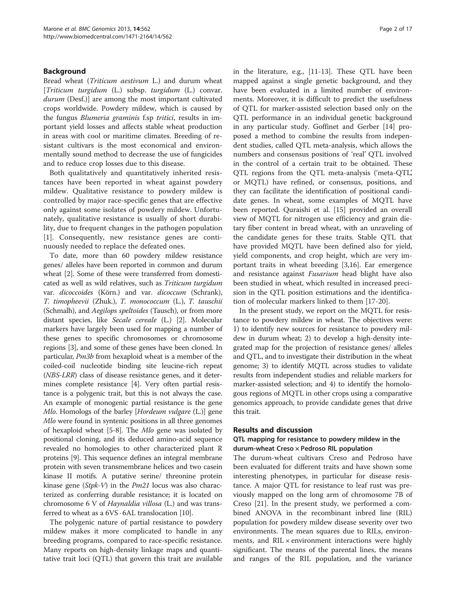## Background

Bread wheat (Triticum aestivum L.) and durum wheat [Triticum turgidum (L.) subsp. turgidum (L.) convar. durum (Desf.)] are among the most important cultivated crops worldwide. Powdery mildew, which is caused by the fungus Blumeria graminis f.sp tritici, results in important yield losses and affects stable wheat production in areas with cool or maritime climates. Breeding of resistant cultivars is the most economical and environmentally sound method to decrease the use of fungicides and to reduce crop losses due to this disease.

Both qualitatively and quantitatively inherited resistances have been reported in wheat against powdery mildew. Qualitative resistance to powdery mildew is controlled by major race-specific genes that are effective only against some isolates of powdery mildew. Unfortunately, qualitative resistance is usually of short durability, due to frequent changes in the pathogen population [[1\]](#page-14-0). Consequently, new resistance genes are continuously needed to replace the defeated ones.

To date, more than 60 powdery mildew resistance genes/ alleles have been reported in common and durum wheat [\[2\]](#page-14-0). Some of these were transferred from domesticated as well as wild relatives, such as Triticum turgidum var. dicoccoides (Körn.) and var. dicoccum (Schrank), T. timopheevii (Zhuk.), T. monococcum (L.), T. tauschii (Schmalh), and Aegilops speltoides (Tausch), or from more distant species, like Secale cereale (L.) [[2](#page-14-0)]. Molecular markers have largely been used for mapping a number of these genes to specific chromosomes or chromosome regions [[3\]](#page-14-0), and some of these genes have been cloned. In particular, Pm3b from hexaploid wheat is a member of the coiled-coil nucleotide binding site leucine-rich repeat (NBS-LRR) class of disease resistance genes, and it determines complete resistance [\[4](#page-14-0)]. Very often partial resistance is a polygenic trait, but this is not always the case. An example of monogenic partial resistance is the gene Mlo. Homologs of the barley [Hordeum vulgare (L.)] gene Mlo were found in syntenic positions in all three genomes of hexaploid wheat [\[5](#page-14-0)-[8\]](#page-14-0). The Mlo gene was isolated by positional cloning, and its deduced amino-acid sequence revealed no homologies to other characterized plant R proteins [[9](#page-14-0)]. This sequence defines an integral membrane protein with seven transmembrane helices and two casein kinase II motifs. A putative serine/ threonine protein kinase gene (*Stpk-V*) in the  $Pm21$  locus was also characterized as conferring durable resistance; it is located on chromosome 6 V of Haynaldia villosa (L.) and was transferred to wheat as a  $6VS \cdot 6AL$  translocation [[10](#page-14-0)].

The polygenic nature of partial resistance to powdery mildew makes it more complicated to handle in any breeding programs, compared to race-specific resistance. Many reports on high-density linkage maps and quantitative trait loci (QTL) that govern this trait are available in the literature, e.g., [[11](#page-14-0)[-13](#page-15-0)]. These QTL have been mapped against a single genetic background, and they have been evaluated in a limited number of environments. Moreover, it is difficult to predict the usefulness of QTL for marker-assisted selection based only on the QTL performance in an individual genetic background in any particular study. Goffinet and Gerber [\[14](#page-15-0)] proposed a method to combine the results from independent studies, called QTL meta-analysis, which allows the numbers and consensus positions of 'real' QTL involved in the control of a certain trait to be obtained. These QTL regions from the QTL meta-analysis ('meta-QTL', or MQTL) have refined, or consensus, positions, and they can facilitate the identification of positional candidate genes. In wheat, some examples of MQTL have been reported. Quraishi et al. [[15\]](#page-15-0) provided an overall view of MQTL for nitrogen use efficiency and grain dietary fiber content in bread wheat, with an unraveling of the candidate genes for these traits. Stable QTL that have provided MQTL have been defined also for yield, yield components, and crop height, which are very important traits in wheat breeding [\[3](#page-14-0),[16](#page-15-0)]. Ear emergence and resistance against Fusarium head blight have also been studied in wheat, which resulted in increased precision in the QTL position estimations and the identification of molecular markers linked to them [[17-20](#page-15-0)].

In the present study, we report on the MQTL for resistance to powdery mildew in wheat. The objectives were: 1) to identify new sources for resistance to powdery mildew in durum wheat; 2) to develop a high-density integrated map for the projection of resistance genes/ alleles and QTL, and to investigate their distribution in the wheat genome; 3) to identify MQTL across studies to validate results from independent studies and reliable markers for marker-assisted selection; and 4) to identify the homologous regions of MQTL in other crops using a comparative genomics approach, to provide candidate genes that drive this trait.

### Results and discussion

### QTL mapping for resistance to powdery mildew in the durum-wheat Creso  $\times$  Pedroso RIL population

The durum-wheat cultivars Creso and Pedroso have been evaluated for different traits and have shown some interesting phenotypes, in particular for disease resistance. A major QTL for resistance to leaf rust was previously mapped on the long arm of chromosome 7B of Creso [[21](#page-15-0)]. In the present study, we performed a combined ANOVA in the recombinant inbred line (RIL) population for powdery mildew disease severity over two environments. The mean squares due to RILs, environments, and RIL × environment interactions were highly significant. The means of the parental lines, the means and ranges of the RIL population, and the variance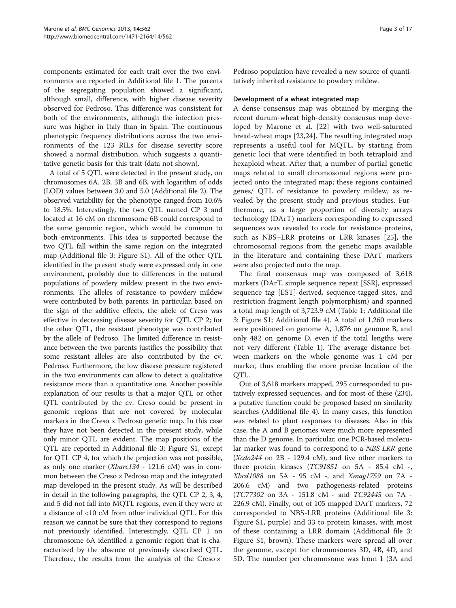components estimated for each trait over the two environments are reported in Additional file [1](#page-14-0). The parents of the segregating population showed a significant, although small, difference, with higher disease severity observed for Pedroso. This difference was consistent for both of the environments, although the infection pressure was higher in Italy than in Spain. The continuous phenotypic frequency distributions across the two environments of the 123 RILs for disease severity score showed a normal distribution, which suggests a quantitative genetic basis for this trait (data not shown).

A total of 5 QTL were detected in the present study, on chromosomes 6A, 2B, 3B and 6B, with logarithm of odds (LOD) values between 3.0 and 5.0 (Additional file [2](#page-14-0)). The observed variability for the phenotype ranged from 10.6% to 18.5%. Interestingly, the two QTL named CP 3 and located at 16 cM on chromosome 6B could correspond to the same genomic region, which would be common to both environments. This idea is supported because the two QTL fall within the same region on the integrated map (Additional file [3](#page-14-0): Figure S1). All of the other QTL identified in the present study were expressed only in one environment, probably due to differences in the natural populations of powdery mildew present in the two environments. The alleles of resistance to powdery mildew were contributed by both parents. In particular, based on the sign of the additive effects, the allele of Creso was effective in decreasing disease severity for QTL CP 2; for the other QTL, the resistant phenotype was contributed by the allele of Pedroso. The limited difference in resistance between the two parents justifies the possibility that some resistant alleles are also contributed by the cv. Pedroso. Furthermore, the low disease pressure registered in the two environments can allow to detect a qualitative resistance more than a quantitative one. Another possible explanation of our results is that a major QTL or other QTL contributed by the cv. Creso could be present in genomic regions that are not covered by molecular markers in the Creso x Pedroso genetic map. In this case they have not been detected in the present study, while only minor QTL are evident. The map positions of the QTL are reported in Additional file [3:](#page-14-0) Figure S1, except for QTL CP 4, for which the projection was not possible, as only one marker (Xbarc134 - 121.6 cM) was in common between the Creso  $\times$  Pedroso map and the integrated map developed in the present study. As will be described in detail in the following paragraphs, the QTL CP 2, 3, 4, and 5 did not fall into MQTL regions, even if they were at a distance of <10 cM from other individual QTL. For this reason we cannot be sure that they correspond to regions not previously identified. Interestingly, QTL CP 1 on chromosome 6A identified a genomic region that is characterized by the absence of previously described QTL. Therefore, the results from the analysis of the Creso  $\times$ 

Pedroso population have revealed a new source of quantitatively inherited resistance to powdery mildew.

#### Development of a wheat integrated map

A dense consensus map was obtained by merging the recent durum-wheat high-density consensus map developed by Marone et al. [[22\]](#page-15-0) with two well-saturated bread-wheat maps [[23,24](#page-15-0)]. The resulting integrated map represents a useful tool for MQTL, by starting from genetic loci that were identified in both tetraploid and hexaploid wheat. After that, a number of partial genetic maps related to small chromosomal regions were projected onto the integrated map; these regions contained genes/ QTL of resistance to powdery mildew, as revealed by the present study and previous studies. Furthermore, as a large proportion of diversity arrays technology (DArT) markers corresponding to expressed sequences was revealed to code for resistance proteins, such as NBS–LRR proteins or LRR kinases [[25\]](#page-15-0), the chromosomal regions from the genetic maps available in the literature and containing these DArT markers were also projected onto the map.

The final consensus map was composed of 3,618 markers (DArT, simple sequence repeat [SSR], expressed sequence tag [EST]-derived, sequence-tagged sites, and restriction fragment length polymorphism) and spanned a total map length of 3,723.9 cM (Table [1;](#page-3-0) Additional file [3:](#page-14-0) Figure S1; Additional file [4\)](#page-14-0). A total of 1,260 markers were positioned on genome A, 1,876 on genome B, and only 482 on genome D, even if the total lengths were not very different (Table [1\)](#page-3-0). The average distance between markers on the whole genome was 1 cM per marker, thus enabling the more precise location of the QTL.

Out of 3,618 markers mapped, 295 corresponded to putatively expressed sequences, and for most of these (234), a putative function could be proposed based on similarity searches (Additional file [4](#page-14-0)). In many cases, this function was related to plant responses to diseases. Also in this case, the A and B genomes were much more represented than the D genome. In particular, one PCR-based molecular marker was found to correspond to a NBS-LRR gene  $(Xcdo244$  on 2B - 129.4 cM), and five other markers to three protein kinases  $(TC91851$  on  $5A - 85.4$  cM -, Xbcd1088 on 5A - 95 cM -, and Xmag1759 on 7A - 206.6 cM) and two pathogenesis-related proteins (TC77302 on 3A - 151.8 cM - and TC92445 on 7A - 226.9 cM). Finally, out of 105 mapped DArT markers, 72 corresponded to NBS-LRR proteins (Additional file [3](#page-14-0): Figure S1, purple) and 33 to protein kinases, with most of these containing a LRR domain (Additional file [3](#page-14-0): Figure S1, brown). These markers were spread all over the genome, except for chromosomes 3D, 4B, 4D, and 5D. The number per chromosome was from 1 (3A and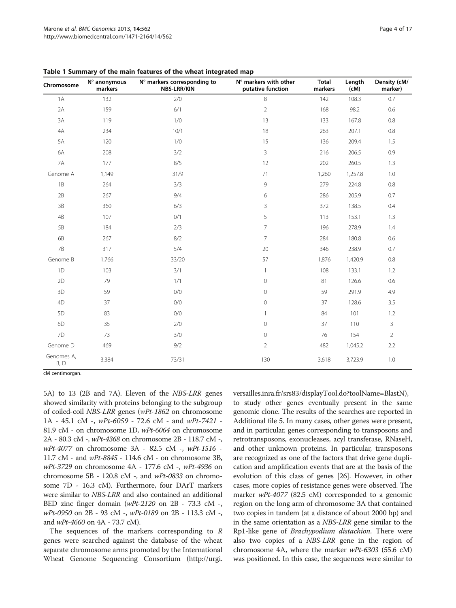| Chromosome         | N° anonymous<br>markers | N° markers corresponding to<br>NBS-LRR/KIN | N° markers with other<br>putative function | <b>Total</b><br>markers | Length<br>(cM) | Density (cM/<br>marker) |
|--------------------|-------------------------|--------------------------------------------|--------------------------------------------|-------------------------|----------------|-------------------------|
| 1A                 | 132                     | 2/0                                        | 8                                          | 142                     | 108.3          | 0.7                     |
| $2A$               | 159                     | 6/1                                        | $\overline{2}$                             | 168                     | 98.2           | 0.6                     |
| 3A                 | 119                     | 1/0                                        | 13                                         | 133                     | 167.8          | 0.8                     |
| 4A                 | 234                     | 10/1                                       | 18                                         | 263                     | 207.1          | 0.8                     |
| 5A                 | 120                     | 1/0                                        | 15                                         | 136                     | 209.4          | 1.5                     |
| 6A                 | 208                     | 3/2                                        | 3                                          | 216                     | 206.5          | 0.9                     |
| 7A                 | 177                     | 8/5                                        | 12                                         | 202                     | 260.5          | 1.3                     |
| Genome A           | 1,149                   | 31/9                                       | 71                                         | 1,260                   | 1,257.8        | 1.0                     |
| 1B                 | 264                     | 3/3                                        | 9                                          | 279                     | 224.8          | $0.8\,$                 |
| 2B                 | 267                     | 9/4                                        | 6                                          | 286                     | 205.9          | 0.7                     |
| 3B                 | 360                     | 6/3                                        | 3                                          | 372                     | 138.5          | 0.4                     |
| 4B                 | 107                     | 0/1                                        | 5                                          | 113                     | 153.1          | 1.3                     |
| 5B                 | 184                     | 2/3                                        | $\overline{7}$                             | 196                     | 278.9          | 1.4                     |
| 6B                 | 267                     | 8/2                                        | $\overline{7}$                             | 284                     | 180.8          | 0.6                     |
| <b>7B</b>          | 317                     | 5/4                                        | 20                                         | 346                     | 238.9          | 0.7                     |
| Genome B           | 1,766                   | 33/20                                      | 57                                         | 1,876                   | 1,420.9        | 0.8                     |
| 1D                 | 103                     | 3/1                                        | 1                                          | 108                     | 133.1          | 1.2                     |
| 2D                 | 79                      | 1/1                                        | $\circ$                                    | 81                      | 126.6          | 0.6                     |
| 3D                 | 59                      | 0/0                                        | $\mathbf{0}$                               | 59                      | 291.9          | 4.9                     |
| 4D                 | 37                      | 0/0                                        | $\overline{0}$                             | 37                      | 128.6          | 3.5                     |
| 5 <sub>D</sub>     | 83                      | 0/0                                        | 1                                          | 84                      | 101            | 1.2                     |
| 6D                 | 35                      | 2/0                                        | $\circ$                                    | 37                      | 110            | $\mathbf{3}$            |
| 7D                 | 73                      | 3/0                                        | $\mathbf{0}$                               | 76                      | 154            | $\overline{2}$          |
| Genome D           | 469                     | 9/2                                        | $\overline{2}$                             | 482                     | 1,045.2        | 2.2                     |
| Genomes A,<br>B, D | 3,384                   | 73/31                                      | 130                                        | 3,618                   | 3,723.9        | 1.0                     |

<span id="page-3-0"></span>Table 1 Summary of the main features of the wheat integrated map

cM centimorgan.

5A) to 13 (2B and 7A). Eleven of the NBS-LRR genes showed similarity with proteins belonging to the subgroup of coiled-coil NBS-LRR genes (wPt-1862 on chromosome 1A - 45.1 cM -, wPt-6059 - 72.6 cM - and wPt-7421 - 81.9 cM - on chromosome 1D, wPt-6064 on chromosome 2A - 80.3 cM -, wPt-4368 on chromosome 2B - 118.7 cM -, wPt-4077 on chromosome 3A - 82.5 cM -, wPt-1516 - 11.7 cM - and wPt-8845 - 114.6 cM - on chromosome 3B, wPt-3729 on chromosome 4A - 177.6 cM -, wPt-4936 on chromosome 5B - 120.8 cM -, and wPt-0833 on chromosome 7D - 16.3 cM). Furthermore, four DArT markers were similar to NBS-LRR and also contained an additional BED zinc finger domain (wPt-2120 on 2B - 73.3 cM -, wPt-0950 on 2B - 93 cM -, wPt-0189 on 2B - 113.3 cM -, and wPt-4660 on 4A - 73.7 cM).

The sequences of the markers corresponding to R genes were searched against the database of the wheat separate chromosome arms promoted by the International Wheat Genome Sequencing Consortium [\(http://urgi.](http://urgi.versailles.inra.fr/srs83/displayTool.do?toolName=BlastN) [versailles.inra.fr/srs83/displayTool.do?toolName=BlastN\)](http://urgi.versailles.inra.fr/srs83/displayTool.do?toolName=BlastN), to study other genes eventually present in the same genomic clone. The results of the searches are reported in Additional file [5](#page-14-0). In many cases, other genes were present, and in particular, genes corresponding to transposons and retrotransposons, exonucleases, acyl transferase, RNaseH, and other unknown proteins. In particular, transposons are recognized as one of the factors that drive gene duplication and amplification events that are at the basis of the evolution of this class of genes [[26](#page-15-0)]. However, in other cases, more copies of resistance genes were observed. The marker wPt-4077 (82.5 cM) corresponded to a genomic region on the long arm of chromosome 3A that contained two copies in tandem (at a distance of about 2000 bp) and in the same orientation as a NBS-LRR gene similar to the Rp1-like gene of *Brachypodium distachion*. There were also two copies of a NBS-LRR gene in the region of chromosome 4A, where the marker  $wPt$ -6303 (55.6 cM) was positioned. In this case, the sequences were similar to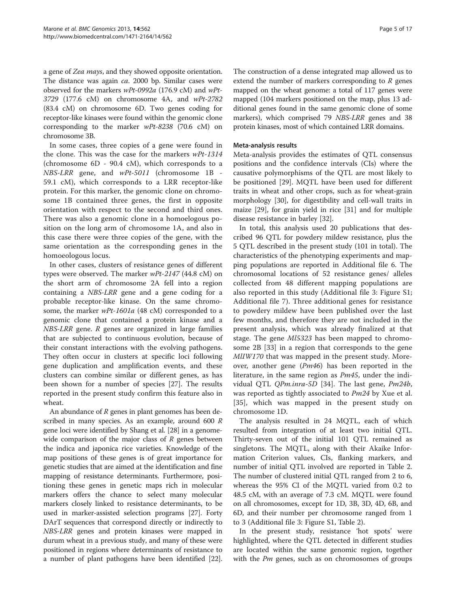a gene of Zea mays, and they showed opposite orientation. The distance was again ca. 2000 bp. Similar cases were observed for the markers wPt-0992a (176.9 cM) and wPt-3729 (177.6 cM) on chromosome 4A, and wPt-2782 (83.4 cM) on chromosome 6D. Two genes coding for receptor-like kinases were found within the genomic clone corresponding to the marker wPt-8238 (70.6 cM) on chromosome 3B.

In some cases, three copies of a gene were found in the clone. This was the case for the markers wPt-1314 (chromosome 6D - 90.4 cM), which corresponds to a NBS-LRR gene, and wPt-5011 (chromosome 1B - 59.1 cM), which corresponds to a LRR receptor-like protein. For this marker, the genomic clone on chromosome 1B contained three genes, the first in opposite orientation with respect to the second and third ones. There was also a genomic clone in a homoelogous position on the long arm of chromosome 1A, and also in this case there were three copies of the gene, with the same orientation as the corresponding genes in the homoeologous locus.

In other cases, clusters of resistance genes of different types were observed. The marker wPt-2147 (44.8 cM) on the short arm of chromosome 2A fell into a region containing a NBS-LRR gene and a gene coding for a probable receptor-like kinase. On the same chromosome, the marker wPt-1601a (48 cM) corresponded to a genomic clone that contained a protein kinase and a NBS-LRR gene. R genes are organized in large families that are subjected to continuous evolution, because of their constant interactions with the evolving pathogens. They often occur in clusters at specific loci following gene duplication and amplification events, and these clusters can combine similar or different genes, as has been shown for a number of species [\[27\]](#page-15-0). The results reported in the present study confirm this feature also in wheat.

An abundance of  $R$  genes in plant genomes has been described in many species. As an example, around 600 R gene loci were identified by Shang et al. [[28\]](#page-15-0) in a genomewide comparison of the major class of  $R$  genes between the indica and japonica rice varieties. Knowledge of the map positions of these genes is of great importance for genetic studies that are aimed at the identification and fine mapping of resistance determinants. Furthermore, positioning these genes in genetic maps rich in molecular markers offers the chance to select many molecular markers closely linked to resistance determinants, to be used in marker-assisted selection programs [\[27\]](#page-15-0). Forty DArT sequences that correspond directly or indirectly to NBS-LRR genes and protein kinases were mapped in durum wheat in a previous study, and many of these were positioned in regions where determinants of resistance to a number of plant pathogens have been identified [[22](#page-15-0)].

The construction of a dense integrated map allowed us to extend the number of markers corresponding to  $R$  genes mapped on the wheat genome: a total of 117 genes were mapped (104 markers positioned on the map, plus 13 additional genes found in the same genomic clone of some markers), which comprised 79 NBS-LRR genes and 38 protein kinases, most of which contained LRR domains.

#### Meta-analysis results

Meta-analysis provides the estimates of QTL consensus positions and the confidence intervals (CIs) where the causative polymorphisms of the QTL are most likely to be positioned [[29\]](#page-15-0). MQTL have been used for different traits in wheat and other crops, such as for wheat-grain morphology [[30](#page-15-0)], for digestibility and cell-wall traits in maize [[29\]](#page-15-0), for grain yield in rice [[31\]](#page-15-0) and for multiple disease resistance in barley [[32\]](#page-15-0).

In total, this analysis used 20 publications that described 96 QTL for powdery mildew resistance, plus the 5 QTL described in the present study (101 in total). The characteristics of the phenotyping experiments and mapping populations are reported in Additional file [6.](#page-14-0) The chromosomal locations of 52 resistance genes/ alleles collected from 48 different mapping populations are also reported in this study (Additional file [3](#page-14-0): Figure S1; Additional file [7](#page-14-0)). Three additional genes for resistance to powdery mildew have been published over the last few months, and therefore they are not included in the present analysis, which was already finalized at that stage. The gene Ml5323 has been mapped to chromosome 2B [\[33](#page-15-0)] in a region that corresponds to the gene MlIW170 that was mapped in the present study. Moreover, another gene (Pm46) has been reported in the literature, in the same region as Pm45, under the individual QTL QPm.inra-5D [\[34](#page-15-0)]. The last gene, Pm24b, was reported as tightly associated to Pm24 by Xue et al. [[35\]](#page-15-0), which was mapped in the present study on chromosome 1D.

The analysis resulted in 24 MQTL, each of which resulted from integration of at least two initial QTL. Thirty-seven out of the initial 101 QTL remained as singletons. The MQTL, along with their Akaike Information Criterion values, CIs, flanking markers, and number of initial QTL involved are reported in Table [2](#page-5-0). The number of clustered initial QTL ranged from 2 to 6, whereas the 95% CI of the MQTL varied from 0.2 to 48.5 cM, with an average of 7.3 cM. MQTL were found on all chromosomes, except for 1D, 3B, 3D, 4D, 6B, and 6D, and their number per chromosome ranged from 1 to 3 (Additional file [3](#page-14-0): Figure S1, Table [2\)](#page-5-0).

In the present study, resistance 'hot spots' were highlighted, where the QTL detected in different studies are located within the same genomic region, together with the  $Pm$  genes, such as on chromosomes of groups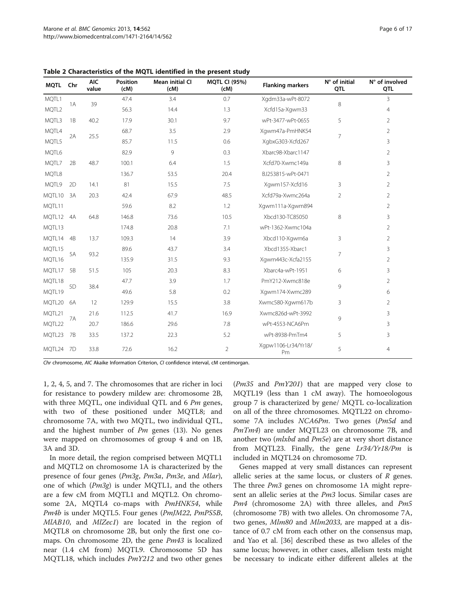| <b>MQTL</b> | Chr            | <b>AIC</b><br>value | Position<br>(CM) | Mean initial CI<br>(CM) | <b>MQTL CI (95%)</b><br>(CM) | <b>Flanking markers</b>   | N° of initial<br><b>QTL</b> | N° of involved<br>QTL |   |   |
|-------------|----------------|---------------------|------------------|-------------------------|------------------------------|---------------------------|-----------------------------|-----------------------|---|---|
| MQTL1       | 39<br>1A       |                     |                  |                         | 47.4                         | 3.4                       | 0.7                         | Xgdm33a-wPt-8072      | 8 | 3 |
| MQTL2       |                |                     | 56.3             | 14.4                    | 1.3                          | Xcfd15a-Xgwm33            |                             | 4                     |   |   |
| MQTL3       | 1B             | 40.2                | 17.9             | 30.1                    | 9.7                          | wPt-3477-wPt-0655         | 5                           | $\overline{2}$        |   |   |
| MQTL4       | 2A             |                     | 68.7             | 3.5                     | 2.9                          | Xgwm47a-PmHNK54           | 7                           | $\overline{2}$        |   |   |
| MQTL5       |                | 25.5                | 85.7             | 11.5                    | 0.6                          | XgbxG303-Xcfd267          |                             | 3                     |   |   |
| MQTL6       |                |                     | 82.9             | 9                       | 0.3                          | Xbarc98-Xbarc1147         |                             | $\overline{2}$        |   |   |
| MQTL7       | 2B             | 48.7                | 100.1            | 6.4                     | 1.5                          | Xcfd70-Xwmc149a           | 8                           | 3                     |   |   |
| MQTL8       |                |                     | 136.7            | 53.5                    | 20.4                         | BJ253815-wPt-0471         |                             | $\overline{2}$        |   |   |
| MQTL9       | 2D             | 14.1                | 81               | 15.5                    | 7.5                          | Xgwm157-Xcfd16            | 3                           | $\overline{2}$        |   |   |
| MQTL10      | 3A             | 20.3                | 42.4             | 67.9                    | 48.5                         | Xcfd79a-Xwmc264a          | $\overline{2}$              | $\overline{2}$        |   |   |
| MQTL11      |                |                     | 59.6             | 8.2                     | 1.2                          | Xgwm111a-Xgwm894          |                             | $\overline{2}$        |   |   |
| MQTL12      | 4A             | 64.8                | 146.8            | 73.6                    | 10.5                         | Xbcd130-TC85050           | 8                           | 3                     |   |   |
| MQTL13      |                |                     | 174.8            | 20.8                    | 7.1                          | wPt-1362-Xwmc104a         |                             | 2                     |   |   |
| MQTL14      | 4B             | 13.7                | 109.3            | 14                      | 3.9                          | Xbcd110-Xgwm6a            | 3                           | $\overline{2}$        |   |   |
| MQTL15      |                |                     | 89.6             | 43.7                    | 3.4                          | Xbcd1355-Xbarc1           |                             | 3                     |   |   |
| MQTL16      | <b>5A</b>      | 93.2                | 135.9            | 31.5                    | 9.3                          | Xgwm443c-Xcfa2155         | $\overline{7}$              | $\overline{2}$        |   |   |
| MQTL17      | 5B             | 51.5                | 105              | 20.3                    | 8.3                          | Xbarc4a-wPt-1951          | 6                           | 3                     |   |   |
| MQTL18      |                |                     | 47.7             | 3.9                     | 1.7                          | PmY212-Xwmc818e           |                             | $\overline{2}$        |   |   |
| MQTL19      | 5 <sub>D</sub> | 38.4                | 49.6             | 5.8                     | 0.2                          | Xgwm174-Xwmc289           | 9                           | 6                     |   |   |
| MQTL20      | 6A             | 12                  | 129.9            | 15.5                    | 3.8                          | Xwmc580-Xgwm617b          | 3                           | $\overline{2}$        |   |   |
| MQTL21      |                | 21.6                | 112.5            | 41.7                    | 16.9                         | Xwmc826d-wPt-3992         |                             | 3                     |   |   |
| MQTL22      | 7A             | 20.7                | 186.6            | 29.6                    | 7.8                          | wPt-4553-NCA6Pm           | 9                           | 3                     |   |   |
| MQTL23      | 7B             | 33.5                | 137.2            | 22.3                    | 5.2                          | wPt-8938-PmTm4            | 5                           | 3                     |   |   |
| MQTL24      | 7D             | 33.8                | 72.6             | 16.2                    | $\overline{2}$               | Xgpw1106-Lr34/Yr18/<br>Pm | 5                           | 4                     |   |   |

<span id="page-5-0"></span>Table 2 Characteristics of the MQTL identified in the present study

Chr chromosome, AIC Akaike Information Criterion, CI confidence interval, cM centimorgan.

1, 2, 4, 5, and 7. The chromosomes that are richer in loci for resistance to powdery mildew are: chromosome 2B, with three MQTL, one individual QTL and  $6 \, Pm$  genes, with two of these positioned under MQTL8; and chromosome 7A, with two MQTL, two individual QTL, and the highest number of  $Pm$  genes (13). No genes were mapped on chromosomes of group 4 and on 1B, 3A and 3D.

In more detail, the region comprised between MQTL1 and MQTL2 on chromosome 1A is characterized by the presence of four genes (Pm3g, Pm3a, Pm3e, and Mlar), one of which  $(Pm3g)$  is under MQTL1, and the others are a few cM from MQTL1 and MQTL2. On chromosome 2A, MQTL4 co-maps with *PmHNK54*, while Pm4b is under MQTL5. Four genes (PmJM22, PmPS5B, MlAB10, and MlZec1) are located in the region of MQTL8 on chromosome 2B, but only the first one comaps. On chromosome 2D, the gene *Pm43* is localized near (1.4 cM from) MQTL9. Chromosome 5D has MQTL18, which includes PmY212 and two other genes

(Pm35 and PmY201) that are mapped very close to MQTL19 (less than 1 cM away). The homoeologous group 7 is characterized by gene/ MQTL co-localization on all of the three chromosomes. MQTL22 on chromosome 7A includes NCA6Pm. Two genes (Pm5d and PmTm4) are under MQTL23 on chromosome 7B, and another two (*mlxbd* and *Pm5e*) are at very short distance from MQTL23. Finally, the gene Lr34/Yr18/Pm is included in MQTL24 on chromosome 7D.

Genes mapped at very small distances can represent allelic series at the same locus, or clusters of  $R$  genes. The three *Pm3* genes on chromosome 1A might represent an allelic series at the Pm3 locus. Similar cases are Pm4 (chromosome 2A) with three alleles, and Pm5 (chromosome 7B) with two alleles. On chromosome 7A, two genes, Mlm80 and Mlm2033, are mapped at a distance of 0.7 cM from each other on the consensus map, and Yao et al. [[36\]](#page-15-0) described these as two alleles of the same locus; however, in other cases, allelism tests might be necessary to indicate either different alleles at the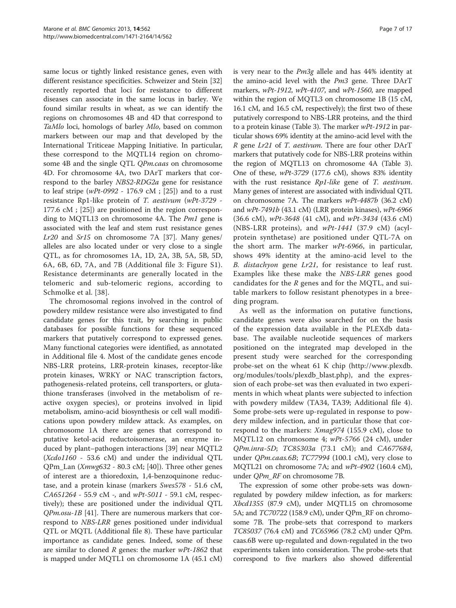same locus or tightly linked resistance genes, even with different resistance specificities. Schweizer and Stein [[32](#page-15-0)] recently reported that loci for resistance to different diseases can associate in the same locus in barley. We found similar results in wheat, as we can identify the regions on chromosomes 4B and 4D that correspond to TaMlo loci, homologs of barley Mlo, based on common markers between our map and that developed by the International Triticeae Mapping Initiative. In particular, these correspond to the MQTL14 region on chromosome 4B and the single QTL QPm.caas on chromosome 4D. For chromosome 4A, two DArT markers that correspond to the barley NBS2-RDG2a gene for resistance to leaf stripe ( $wPt$ -0992 - 176.9 cM ; [\[25](#page-15-0)]) and to a rust resistance Rp1-like protein of T. aestivum (wPt-3729 - 177.6 cM ; [[25](#page-15-0)]) are positioned in the region corresponding to MQTL13 on chromosome 4A. The Pm1 gene is associated with the leaf and stem rust resistance genes Lr20 and Sr15 on chromosome 7A [\[37](#page-15-0)]. Many genes/ alleles are also located under or very close to a single QTL, as for chromosomes 1A, 1D, 2A, 3B, 5A, 5B, 5D, 6A, 6B, 6D, 7A, and 7B (Additional file [3:](#page-14-0) Figure S1). Resistance determinants are generally located in the telomeric and sub-telomeric regions, according to Schmolke et al. [[38](#page-15-0)].

The chromosomal regions involved in the control of powdery mildew resistance were also investigated to find candidate genes for this trait, by searching in public databases for possible functions for these sequenced markers that putatively correspond to expressed genes. Many functional categories were identified, as annotated in Additional file [4](#page-14-0). Most of the candidate genes encode NBS-LRR proteins, LRR-protein kinases, receptor-like protein kinases, WRKY or NAC transcription factors, pathogenesis-related proteins, cell transporters, or glutathione transferases (involved in the metabolism of reactive oxygen species), or proteins involved in lipid metabolism, amino-acid biosynthesis or cell wall modifications upon powdery mildew attack. As examples, on chromosome 1A there are genes that correspond to putative ketol-acid reductoisomerase, an enzyme induced by plant–pathogen interactions [\[39](#page-15-0)] near MQTL2 (Xcdo1160 - 53.6 cM) and under the individual QTL  $QPm_Lan$  (*Xmwg632 - 80.3 cM*; [[40\]](#page-15-0)). Three other genes of interest are a thioredoxin, 1,4-benzoquinone reductase, and a protein kinase (markers Swes578 - 51.6 cM, CA651264 - 55.9 cM -, and wPt-5011 - 59.1 cM, respectively); these are positioned under the individual QTL QPm.osu-1B [\[41](#page-15-0)]. There are numerous markers that correspond to NBS-LRR genes positioned under individual QTL or MQTL (Additional file [8](#page-14-0)). These have particular importance as candidate genes. Indeed, some of these are similar to cloned  $R$  genes: the marker  $wPt-1862$  that is mapped under MQTL1 on chromosome 1A (45.1 cM)

is very near to the Pm3g allele and has 44% identity at the amino-acid level with the Pm3 gene. Three DArT markers, wPt-1912, wPt-4107, and wPt-1560, are mapped within the region of MQTL3 on chromosome 1B (15 cM, 16.1 cM, and 16.5 cM, respectively); the first two of these putatively correspond to NBS-LRR proteins, and the third to a protein kinase (Table [3\)](#page-7-0). The marker wPt-1912 in particular shows 69% identity at the amino-acid level with the R gene Lr21 of T. aestivum. There are four other DArT markers that putatively code for NBS-LRR proteins within the region of MQTL13 on chromosome 4A (Table [3](#page-7-0)). One of these, wPt-3729 (177.6 cM), shows 83% identity with the rust resistance Rp1-like gene of T. aestivum. Many genes of interest are associated with individual QTL on chromosome 7A. The markers wPt-4487b (36.2 cM) and  $wPt-7491b$  (43.1 cM) (LRR protein kinases),  $wPt-6966$ (36.6 cM), wPt-3648 (41 cM), and wPt-3434 (43.6 cM) (NBS-LRR proteins), and wPt-1441 (37.9 cM) (acylprotein synthetase) are positioned under QTL-7A on the short arm. The marker  $wPt-6966$ , in particular, shows 49% identity at the amino-acid level to the B. *distachyon* gene Lr21, for resistance to leaf rust. Examples like these make the NBS-LRR genes good candidates for the  $R$  genes and for the MQTL, and suitable markers to follow resistant phenotypes in a breeding program.

As well as the information on putative functions, candidate genes were also searched for on the basis of the expression data available in the PLEXdb database. The available nucleotide sequences of markers positioned on the integrated map developed in the present study were searched for the corresponding probe-set on the wheat 61 K chip ([http://www.plexdb.](http://www.plexdb.org/modules/tools/plexdb_blast.php) [org/modules/tools/plexdb\\_blast.php](http://www.plexdb.org/modules/tools/plexdb_blast.php)), and the expression of each probe-set was then evaluated in two experiments in which wheat plants were subjected to infection with powdery mildew (TA34, TA39; Additional file [4](#page-14-0)). Some probe-sets were up-regulated in response to powdery mildew infection, and in particular those that correspond to the markers: *Xmag974* (155.9 cM), close to MQTL12 on chromosome 4; wPt-5766 (24 cM), under QPm.inra-5D; TC85303a (73.1 cM); and CA677684, under QPm.caas.6B; TC77994 (100.1 cM), very close to MQTL21 on chromosome 7A; and wPt-4902 (160.4 cM), under QPm\_RF on chromosome 7B.

The expression of some other probe-sets was downregulated by powdery mildew infection, as for markers: Xbcd1355 (87.9 cM), under MQTL15 on chromosome 5A; and TC70722 (158.9 cM), under QPm\_RF on chromosome 7B. The probe-sets that correspond to markers TC85037 (76.4 cM) and TC65966 (78.2 cM) under QPm. caas.6B were up-regulated and down-regulated in the two experiments taken into consideration. The probe-sets that correspond to five markers also showed differential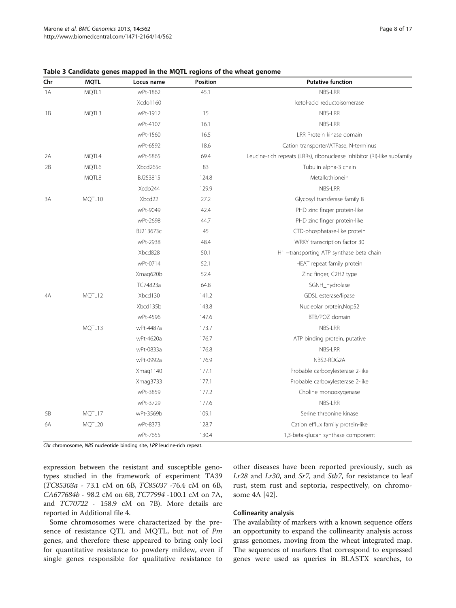| Chr | <b>MQTL</b> | Locus name | <b>Position</b> | <b>Putative function</b>                                                |
|-----|-------------|------------|-----------------|-------------------------------------------------------------------------|
| 1A  | MQTL1       | wPt-1862   | 45.1            | NBS-LRR                                                                 |
|     |             | Xcdo1160   |                 | ketol-acid reductoisomerase                                             |
| 1B  | MQTL3       | wPt-1912   | 15              | NBS-LRR                                                                 |
|     |             | wPt-4107   | 16.1            | <b>NBS-LRR</b>                                                          |
|     |             | wPt-1560   | 16.5            | LRR Protein kinase domain                                               |
|     |             | wPt-6592   | 18.6            | Cation transporter/ATPase, N-terminus                                   |
| 2A  | MQTL4       | wPt-5865   | 69.4            | Leucine-rich repeats (LRRs), ribonuclease inhibitor (RI)-like subfamily |
| 2B  | MQTL6       | Xbcd265c   | 83              | Tubulin alpha-3 chain                                                   |
|     | MQTL8       | BJ253815   | 124.8           | Metallothionein                                                         |
|     |             | Xcdo244    | 129.9           | NBS-LRR                                                                 |
| 3A  | MQTL10      | Xbcd22     | 27.2            | Glycosyl transferase family 8                                           |
|     |             | wPt-9049   | 42.4            | PHD zinc finger protein-like                                            |
|     |             | wPt-2698   | 44.7            | PHD zinc finger protein-like                                            |
|     |             | BJ213673c  | 45              | CTD-phosphatase-like protein                                            |
|     |             | wPt-2938   | 48.4            | WRKY transcription factor 30                                            |
|     |             | Xbcd828    | 50.1            | H <sup>+</sup> -transporting ATP synthase beta chain                    |
|     |             | wPt-0714   | 52.1            | HEAT repeat family protein                                              |
|     |             | Xmag620b   | 52.4            | Zinc finger, C2H2 type                                                  |
|     |             | TC74823a   | 64.8            | SGNH_hydrolase                                                          |
| 4A  | MQTL12      | Xbcd130    | 141.2           | GDSL esterase/lipase                                                    |
|     |             | Xbcd135b   | 143.8           | Nucleolar protein, Nop52                                                |
|     |             | wPt-4596   | 147.6           | BTB/POZ domain                                                          |
|     | MQTL13      | wPt-4487a  | 173.7           | NBS-LRR                                                                 |
|     |             | wPt-4620a  | 176.7           | ATP binding protein, putative                                           |
|     |             | wPt-0833a  | 176.8           | NBS-LRR                                                                 |
|     |             | wPt-0992a  | 176.9           | NBS2-RDG2A                                                              |
|     |             | Xmag1140   | 177.1           | Probable carboxylesterase 2-like                                        |
|     |             | Xmag3733   | 177.1           | Probable carboxylesterase 2-like                                        |
|     |             | wPt-3859   | 177.2           | Choline monooxygenase                                                   |
|     |             | wPt-3729   | 177.6           | NBS-LRR                                                                 |
| 5B  | MQTL17      | wPt-3569b  | 109.1           | Serine threonine kinase                                                 |
| 6A  | MQTL20      | wPt-8373   | 128.7           | Cation efflux family protein-like                                       |
|     |             | wPt-7655   | 130.4           | 1,3-beta-glucan synthase component                                      |

#### <span id="page-7-0"></span>Table 3 Candidate genes mapped in the MQTL regions of the wheat genome

Chr chromosome, NBS nucleotide binding site, LRR leucine-rich repeat.

expression between the resistant and susceptible genotypes studied in the framework of experiment TA39 (TC85303a - 73.1 cM on 6B, TC85037 -76.4 cM on 6B, CA677684b - 98.2 cM on 6B, TC77994 -100.1 cM on 7A, and TC70722 - 158.9 cM on 7B). More details are reported in Additional file [4](#page-14-0).

Some chromosomes were characterized by the presence of resistance QTL and MQTL, but not of Pm genes, and therefore these appeared to bring only loci for quantitative resistance to powdery mildew, even if single genes responsible for qualitative resistance to

other diseases have been reported previously, such as Lr28 and Lr30, and Sr7, and Stb7, for resistance to leaf rust, stem rust and septoria, respectively, on chromosome 4A [\[42](#page-15-0)].

#### Collinearity analysis

The availability of markers with a known sequence offers an opportunity to expand the collinearity analysis across grass genomes, moving from the wheat integrated map. The sequences of markers that correspond to expressed genes were used as queries in BLASTX searches, to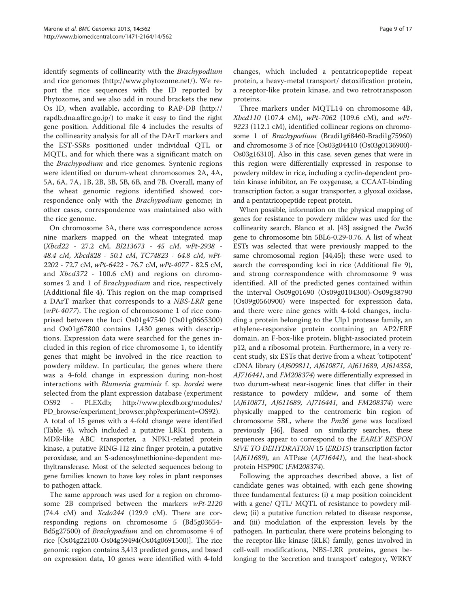identify segments of collinearity with the Brachypodium and rice genomes (<http://www.phytozome.net/>). We report the rice sequences with the ID reported by Phytozome, and we also add in round brackets the new Os ID, when available, according to RAP-DB ([http://](http://rapdb.dna.affrc.go.jp/) [rapdb.dna.affrc.go.jp/](http://rapdb.dna.affrc.go.jp/)) to make it easy to find the right gene position. Additional file [4](#page-14-0) includes the results of the collinearity analysis for all of the DArT markers and the EST-SSRs positioned under individual QTL or MQTL, and for which there was a significant match on the Brachypodium and rice genomes. Syntenic regions were identified on durum-wheat chromosomes 2A, 4A, 5A, 6A, 7A, 1B, 2B, 3B, 5B, 6B, and 7B. Overall, many of the wheat genomic regions identified showed correspondence only with the Brachypodium genome; in other cases, correspondence was maintained also with the rice genome.

On chromosome 3A, there was correspondence across nine markers mapped on the wheat integrated map (Xbcd22 - 27.2 cM, BJ213673 - 45 cM, wPt-2938 - 48.4 cM, Xbcd828 - 50.1 cM, TC74823 - 64.8 cM, wPt-2202 - 72.7 cM, wPt-6422 - 76.7 cM, wPt-4077 - 82.5 cM, and Xbcd372 - 100.6 cM) and regions on chromosomes 2 and 1 of *Brachypodium* and rice, respectively (Additional file [4\)](#page-14-0). This region on the map comprised a DArT marker that corresponds to a NBS-LRR gene (wPt-4077). The region of chromosome 1 of rice comprised between the loci Os01g47540 (Os01g0665300) and Os01g67800 contains 1,430 genes with descriptions. Expression data were searched for the genes included in this region of rice chromosome 1, to identify genes that might be involved in the rice reaction to powdery mildew. In particular, the genes where there was a 4-fold change in expression during non-host interactions with Blumeria graminis f. sp. hordei were selected from the plant expression database (experiment OS92 - PLEXdb; [http://www.plexdb.org/modules/](http://www.plexdb.org/modules/PD_browse/experiment_browser.php?experiment=OS92) [PD\\_browse/experiment\\_browser.php?experiment=OS92](http://www.plexdb.org/modules/PD_browse/experiment_browser.php?experiment=OS92)). A total of 15 genes with a 4-fold change were identified (Table [4](#page-9-0)), which included a putative LRK1 protein, a MDR-like ABC transporter, a NPK1-related protein kinase, a putative RING-H2 zinc finger protein, a putative peroxidase, and an S-adenosylmethionine-dependent methyltransferase. Most of the selected sequences belong to gene families known to have key roles in plant responses to pathogen attack.

The same approach was used for a region on chromosome 2B comprised between the markers wPt-2120 (74.4 cM) and Xcdo244 (129.9 cM). There are corresponding regions on chromosome 5 (Bd5g03654- Bd5g27500) of Brachypodium and on chromosome 4 of rice [Os04g22100-Os04g59494(Os04g0691500)]. The rice genomic region contains 3,413 predicted genes, and based on expression data, 10 genes were identified with 4-fold

changes, which included a pentatricopeptide repeat protein, a heavy-metal transport/ detoxification protein, a receptor-like protein kinase, and two retrotransposon proteins.

Three markers under MQTL14 on chromosome 4B, Xbcd110 (107.4 cM), wPt-7062 (109.6 cM), and wPt-9223 (112.1 cM), identified collinear regions on chromosome 1 of *Brachypodium* (Bradi1g68460-Bradi1g75960) and chromosome 3 of rice [Os03g04410 (Os03g0136900)- Os03g16310]. Also in this case, seven genes that were in this region were differentially expressed in response to powdery mildew in rice, including a cyclin-dependent protein kinase inhibitor, an Fe oxygenase, a CCAAT-binding transcription factor, a sugar transporter, a glyoxal oxidase, and a pentatricopeptide repeat protein.

When possible, information on the physical mapping of genes for resistance to powdery mildew was used for the collinearity search. Blanco et al. [[43\]](#page-15-0) assigned the Pm36 gene to chromosome bin 5BL6-0.29-0.76. A list of wheat ESTs was selected that were previously mapped to the same chromosomal region [[44,45\]](#page-15-0); these were used to search the corresponding loci in rice (Additional file [9](#page-14-0)), and strong correspondence with chromosome 9 was identified. All of the predicted genes contained within the interval Os09g01690 (Os09g0104300)-Os09g38790 (Os09g0560900) were inspected for expression data, and there were nine genes with 4-fold changes, including a protein belonging to the Ulp1 protease family, an ethylene-responsive protein containing an AP2/ERF domain, an F-box-like protein, blight-associated protein p12, and a ribosomal protein. Furthermore, in a very recent study, six ESTs that derive from a wheat 'totipotent' cDNA library (AJ609811, AJ610871, AJ611689, AJ614358, AJ716441, and FM208374) were differentially expressed in two durum-wheat near-isogenic lines that differ in their resistance to powdery mildew, and some of them (AJ610871, AJ611689, AJ716441, and FM208374) were physically mapped to the centromeric bin region of chromosome 5BL, where the Pm36 gene was localized previously [[46](#page-15-0)]. Based on similarity searches, these sequences appear to correspond to the EARLY RESPON SIVE TO DEHYDRATION 15 (ERD15) transcription factor  $(AJ611689)$ , an ATPase  $(AJ716441)$ , and the heat-shock protein HSP90C (FM208374).

Following the approaches described above, a list of candidate genes was obtained, with each gene showing three fundamental features: (i) a map position coincident with a gene/ QTL/ MQTL of resistance to powdery mildew; (ii) a putative function related to disease response, and (iii) modulation of the expression levels by the pathogen. In particular, there were proteins belonging to the receptor-like kinase (RLK) family, genes involved in cell-wall modifications, NBS-LRR proteins, genes belonging to the 'secretion and transport' category, WRKY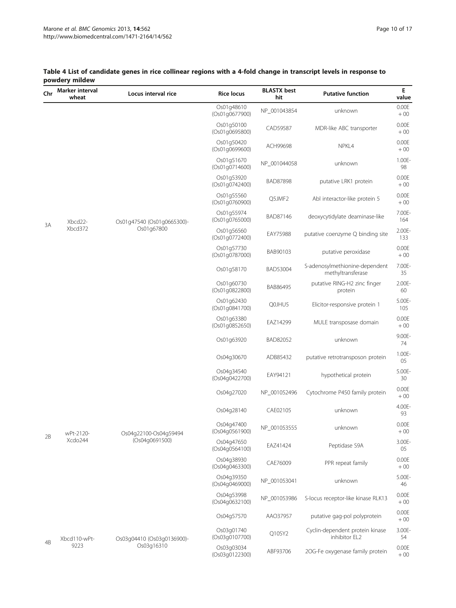| Chr | Marker interval<br>wheat | Locus interval rice                      | <b>Rice locus</b>            | <b>BLASTX</b> best<br>hit | <b>Putative function</b>                            | Е<br>value     |
|-----|--------------------------|------------------------------------------|------------------------------|---------------------------|-----------------------------------------------------|----------------|
|     |                          |                                          | Os01q48610<br>(Os01g0677900) | NP_001043854              | unknown                                             | 0.00E<br>$+00$ |
|     |                          |                                          | Os01g50100<br>(Os01g0695800) | CAD59587                  | MDR-like ABC transporter                            | 0.00E<br>$+00$ |
|     |                          |                                          | Os01g50420<br>(Os01g0699600) | ACH99698                  | NPKL4                                               | 0.00E<br>$+00$ |
|     |                          |                                          | Os01g51670<br>(Os01q0714600) | NP 001044058              | unknown                                             | 1.00E-<br>98   |
|     |                          |                                          | Os01q53920<br>(Os01g0742400) | <b>BAD87898</b>           | putative LRK1 protein                               | 0.00E<br>$+00$ |
|     |                          |                                          | Os01q55560<br>(Os01g0760900) | Q5JMF2                    | Abl interactor-like protein 5                       | 0.00E<br>$+00$ |
|     | Xbcd22-                  | Os01q47540 (Os01q0665300)-               | Os01q55974<br>(Os01g0765000) | BAD87146                  | deoxycytidylate deaminase-like                      | 7.00E-<br>164  |
| 3A  | Xbcd372                  | Os01g67800                               | Os01g56560<br>(Os01g0772400) | EAY75988                  | putative coenzyme Q binding site                    | 2.00E-<br>133  |
|     |                          |                                          | Os01q57730<br>(Os01q0787000) | BAB90103                  | putative peroxidase                                 | 0.00E<br>$+00$ |
|     |                          |                                          | Os01g58170                   | BAD53004                  | S-adenosylmethionine-dependent<br>methyltransferase | 7.00E-<br>35   |
|     |                          |                                          | Os01g60730<br>(Os01g0822800) | BAB86495                  | putative RING-H2 zinc finger<br>protein             | 2.00E-<br>60   |
|     |                          |                                          | Os01q62430<br>(Os01g0841700) | Q0JHU5                    | Elicitor-responsive protein 1                       | 5.00E-<br>105  |
|     |                          |                                          | Os01q63380<br>(Os01g0852650) | EAZ14299                  | MULE transposase domain                             | 0.00E<br>$+00$ |
|     |                          |                                          | Os01g63920                   | BAD82052                  | unknown                                             | 9.00E-<br>74   |
|     |                          | Os04g22100-Os04g59494<br>(Os04q0691500)  | Os04q30670                   | ADB85432                  | putative retrotransposon protein                    | 1.00E-<br>05   |
|     |                          |                                          | Os04g34540<br>(Os04q0422700) | EAY94121                  | hypothetical protein                                | 5.00E-<br>30   |
|     |                          |                                          | Os04q27020                   | NP_001052496              | Cytochrome P450 family protein                      | 0.00E<br>$+00$ |
|     |                          |                                          | Os04q28140                   | CAE02105                  | unknown                                             | 4.00E-<br>93   |
|     | wPt-2120-                |                                          | Os04g47400<br>(Os04g0561900) | NP_001053555              | unknown                                             | 0.00E<br>$+00$ |
| 2B  | Xcdo244                  |                                          | Os04q47650<br>(Os04g0564100) | EAZ41424                  | Peptidase S9A                                       | 3.00E-<br>05   |
|     |                          |                                          | Os04q38930<br>(Os04q0463300) | CAE76009                  | PPR repeat family                                   | 0.00E<br>$+00$ |
|     |                          |                                          | Os04q39350<br>(Os04g0469000) | NP_001053041              | unknown                                             | 5.00E-<br>46   |
|     |                          |                                          | Os04q53998<br>(Os04q0632100) | NP 001053986              | S-locus receptor-like kinase RLK13                  | 0.00E<br>$+00$ |
|     |                          |                                          | Os04q57570                   | AAO37957                  | putative gag-pol polyprotein                        | 0.00E<br>$+00$ |
|     | Xbcd110-wPt-             | Os03q04410 (Os03q0136900)-<br>Os03q16310 | Os03g01740<br>(Os03g0107700) | Q10SY2                    | Cyclin-dependent protein kinase<br>inhibitor EL2    | 3.00E-<br>54   |
|     | 4B<br>9223               |                                          | Os03g03034<br>(Os03g0122300) | ABF93706                  | 2OG-Fe oxygenase family protein                     | 0.00E<br>$+00$ |

## <span id="page-9-0"></span>Table 4 List of candidate genes in rice collinear regions with a 4-fold change in transcript levels in response to powdery mildew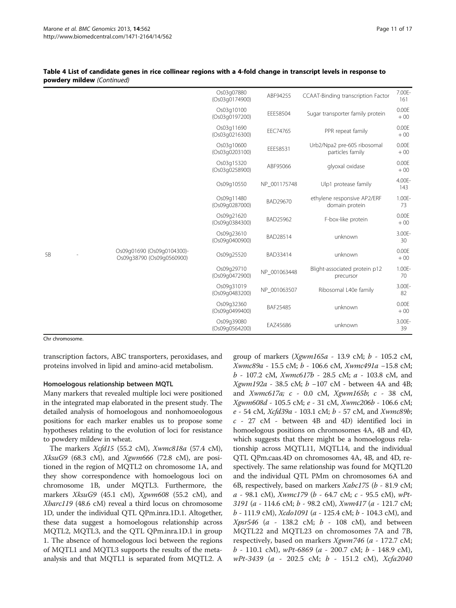|                |                                                         | Os03q07880<br>(Os03q0174900) | ABF94255     | <b>CCAAT-Binding transcription Factor</b>       | 7.00E-<br>161  |
|----------------|---------------------------------------------------------|------------------------------|--------------|-------------------------------------------------|----------------|
|                |                                                         | Os03q10100<br>(Os03q0197200) | EEE58504     | Sugar transporter family protein                | 0.00E<br>$+00$ |
|                |                                                         | Os03q11690<br>(Os03q0216300) | EEC74765     | PPR repeat family                               | 0.00E<br>$+00$ |
|                |                                                         | Os03q10600<br>(Os03q0203100) | EEE58531     | Urb2/Npa2 pre-60S ribosomal<br>particles family | 0.00E<br>$+00$ |
|                |                                                         | Os03q15320<br>(Os03q0258900) | ABF95066     | glyoxal oxidase                                 | 0.00E<br>$+00$ |
|                |                                                         | Os09g10550                   | NP 001175748 | Ulp1 protease family                            | 4.00E-<br>143  |
|                |                                                         | Os09q11480<br>(Os09q0287000) | BAD29670     | ethylene responsive AP2/ERF<br>domain protein   | 1.00E-<br>73   |
|                |                                                         | Os09q21620<br>(Os09q0384300) | BAD25962     | F-box-like protein                              | 0.00E<br>$+00$ |
|                |                                                         | Os09q23610<br>(Os09g0400900) | BAD28514     | unknown                                         | 3.00E-<br>30   |
| 5 <sub>B</sub> | Os09q01690 (Os09q0104300)-<br>Os09q38790 (Os09q0560900) | Os09q25520                   | BAD33414     | unknown                                         | 0.00E<br>$+00$ |
|                |                                                         | Os09q29710<br>(Os09q0472900) | NP_001063448 | Blight-associated protein p12<br>precursor      | 1.00E-<br>70   |
|                |                                                         | Os09q31019<br>(Os09q0483200) | NP 001063507 | Ribosomal L40e family                           | 3.00E-<br>82   |
|                |                                                         | Os09q32360<br>(Os09q0499400) | BAF25485     | unknown                                         | 0.00E<br>$+00$ |
|                |                                                         | Os09q39080<br>(Os09q0564200) | EAZ45686     | unknown                                         | 3.00E-<br>39   |

#### Table 4 List of candidate genes in rice collinear regions with a 4-fold change in transcript levels in response to powdery mildew (Continued)

Chr chromosome.

transcription factors, ABC transporters, peroxidases, and proteins involved in lipid and amino-acid metabolism.

### Homoelogous relationship between MQTL

Many markers that revealed multiple loci were positioned in the integrated map elaborated in the present study. The detailed analysis of homoelogous and nonhomoeologous positions for each marker enables us to propose some hypotheses relating to the evolution of loci for resistance to powdery mildew in wheat.

The markers Xcfd15 (55.2 cM), Xwmc818a (57.4 cM),  $XksuG9$  (68.3 cM), and  $Xgwm666$  (72.8 cM), are positioned in the region of MQTL2 on chromosome 1A, and they show correspondence with homoelogous loci on chromosome 1B, under MQTL3. Furthermore, the markers XksuG9 (45.1 cM), Xgwm608 (55.2 cM), and Xbarc119 (48.6 cM) reveal a third locus on chromosome 1D, under the individual QTL QPm.inra.1D.1. Altogether, these data suggest a homoelogous relationship across MQTL2, MQTL3, and the QTL QPm.inra.1D.1 in group 1. The absence of homoelogous loci between the regions of MQTL1 and MQTL3 supports the results of the metaanalysis and that MQTL1 is separated from MQTL2. A

group of markers ( $Xgwm165a - 13.9$  cM;  $b - 105.2$  cM, Xwmc89a - 15.5 cM; b - 106.6 cM, Xwmc491a −15.8 cM; b - 107.2 cM, Xwmc617b - 28.5 cM; a - 103.8 cM, and Xgwm192a - 38.5 cM; b −107 cM - between 4A and 4B; and Xwmc617a; c - 0.0 cM, Xgwm165b; c - 38 cM, Xgwm608d - 105.5 cM; e - 31 cM, Xwmc206b - 106.6 cM; e - 54 cM, Xcfd39a - 103.1 cM; b - 57 cM, and Xwmc89b; c - 27 cM - between 4B and 4D) identified loci in homoelogous positions on chromosomes 4A, 4B and 4D, which suggests that there might be a homoelogous relationship across MQTL11, MQTL14, and the individual QTL QPm.caas.4D on chromosomes 4A, 4B, and 4D, respectively. The same relationship was found for MQTL20 and the individual QTL PMm on chromosomes 6A and 6B, respectively, based on markers Xabc175 (b - 81.9 cM; a - 98.1 cM), Xwmc179 (b - 64.7 cM; c - 95.5 cM), wPt-3191 (a - 114.6 cM; b - 98.2 cM), Xwm417 (a - 121.7 cM;  $b - 111.9 \text{ cM}$ , *Xcdo1091* (*a* - 125.4 cM;  $b - 104.3 \text{ cM}$ ), and  $Xpsr546$  (a - 138.2 cM; b - 108 cM), and between MQTL22 and MQTL23 on chromosomes 7A and 7B, respectively, based on markers Xgwm746 (a - 172.7 cM;  $b - 110.1$  cM), wPt-6869 (a - 200.7 cM; b - 148.9 cM), wPt-3439 (a - 202.5 cM; b - 151.2 cM), Xcfa2040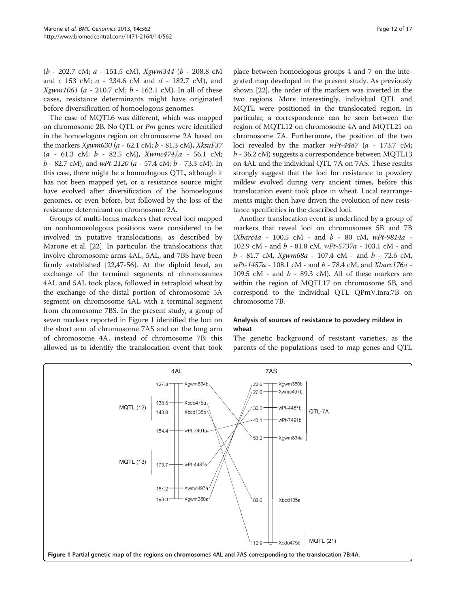(b - 202.7 cM; a - 151.5 cM), Xgwm344 (b - 208.8 cM and  $c$  153 cM;  $a$  - 234.6 cM and  $d$  - 182.7 cM), and *Xgwm1061 (a - 210.7 cM; b - 162.1 cM).* In all of these cases, resistance determinants might have originated before diversification of homoelogous genomes.

The case of MQTL6 was different, which was mapped on chromosome 2B. No QTL or Pm genes were identified in the homoelogous region on chromosome 2A based on the markers Xgwm630 (a - 62.1 cM; b - 81.3 cM), XksuF37 (a - 61.3 cM; b - 82.5 cM), Xwmc474,(a - 56.1 cM;  $b - 82.7$  cM), and  $wPt - 2120$  (a - 57.4 cM; b - 73.3 cM). In this case, there might be a homoelogous QTL, although it has not been mapped yet, or a resistance source might have evolved after diversification of the homoelogous genomes, or even before, but followed by the loss of the resistance determinant on chromosome 2A.

Groups of multi-locus markers that reveal loci mapped on nonhomoeologous positions were considered to be involved in putative translocations, as described by Marone et al. [\[22](#page-15-0)]. In particular, the translocations that involve chromosome arms 4AL, 5AL, and 7BS have been firmly established [\[22,47](#page-15-0)[-56](#page-16-0)]. At the diploid level, an exchange of the terminal segments of chromosomes 4AL and 5AL took place, followed in tetraploid wheat by the exchange of the distal portion of chromosome 5A segment on chromosome 4AL with a terminal segment from chromosome 7BS. In the present study, a group of seven markers reported in Figure 1 identified the loci on the short arm of chromosome 7AS and on the long arm of chromosome 4A, instead of chromosome 7B; this allowed us to identify the translocation event that took place between homoelogous groups 4 and 7 on the integrated map developed in the present study. As previously shown [\[22\]](#page-15-0), the order of the markers was inverted in the two regions. More interestingly, individual QTL and MQTL were positioned in the translocated region. In particular, a correspondence can be seen between the region of MQTL12 on chromosome 4A and MQTL21 on chromosome 7A. Furthermore, the position of the two loci revealed by the marker  $wPt-4487$  (a - 173.7 cM; b - 36.2 cM) suggests a correspondence between MQTL13 on 4AL and the individual QTL-7A on 7AS. These results strongly suggest that the loci for resistance to powdery mildew evolved during very ancient times, before this translocation event took place in wheat. Local rearrangements might then have driven the evolution of new resistance specificities in the described loci.

Another translocation event is underlined by a group of markers that reveal loci on chromosomes 5B and 7B  $(Xbarc4a - 100.5 \text{ cM} - \text{and } b - 80 \text{ cM}, \text{wPt-9814a - \text{b}$ 102.9 cM - and b - 81.8 cM, wPt-5737a - 103.1 cM - and  $b$  - 81.7 cM, *Xgwm68a* - 107.4 cM - and  $b$  - 72.6 cM, wPt-1457a - 108.1 cM - and b - 78.4 cM, and Xbarc176a - 109.5 cM - and  $b$  - 89.3 cM). All of these markers are within the region of MQTL17 on chromosome 5B, and correspond to the individual QTL QPmV.inra.7B on chromosome 7B.

### Analysis of sources of resistance to powdery mildew in wheat

The genetic background of resistant varieties, as the parents of the populations used to map genes and QTL

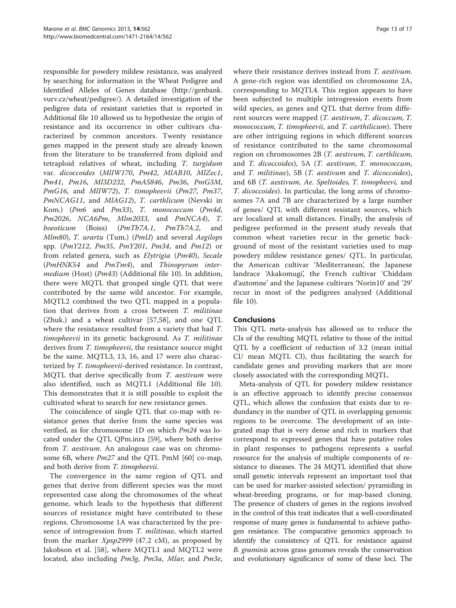responsible for powdery mildew resistance, was analyzed by searching for information in the Wheat Pedigree and Identified Alleles of Genes database ([http://genbank.](http://genbank.vurv.cz/wheat/pedigree/) [vurv.cz/wheat/pedigree/](http://genbank.vurv.cz/wheat/pedigree/)). A detailed investigation of the pedigree data of resistant varieties that is reported in Additional file [10](#page-14-0) allowed us to hypothesize the origin of resistance and its occurrence in other cultivars characterized by common ancestors. Twenty resistance genes mapped in the present study are already known from the literature to be transferred from diploid and tetraploid relatives of wheat, including T. turgidum var. dicoccoides (MlIW170, Pm42, MlAB10, MlZec1, Pm41, Pm16, Ml3D232, PmAS846, Pm36, PmG3M, PmG16, and MlIW72), T. timopheevii (Pm27, Pm37, PmNCAG11, and MlAG12), T. carthlicum (Nevski in Kom.) (Pm6 and Pm33), T. monococcum (Pm4d, Pm2026, NCA6Pm, Mlm2033, and PmNCA4), T. boeoticum (Boiss) (PmTb7A.1, PmTb7A.2, and Mlm80), T. urartu (Tum.) (PmU) and several Aegilops spp. (PmY212, Pm35, PmY201, Pm34, and Pm12) or from related genera, such as Elytrigia (Pm40), Secale (PmHNK54 and PmTm4), and Thinopyrum inter-medium (Host) (Pm43) (Additional file [10](#page-14-0)). In addition, there were MQTL that grouped single QTL that were contributed by the same wild ancestor. For example, MQTL2 combined the two QTL mapped in a population that derives from a cross between T. militinae (Zhuk.) and a wheat cultivar [\[57,58](#page-16-0)], and one QTL where the resistance resulted from a variety that had T. timopheevii in its genetic background. As T. militinae derives from T. timopheevii, the resistance source might be the same. MQTL3, 13, 16, and 17 were also characterized by T. timopheevii-derived resistance. In contrast, MQTL that derive specifically from T. aestivum were also identified, such as MQTL1 (Additional file [10](#page-14-0)). This demonstrates that it is still possible to exploit the cultivated wheat to search for new resistance genes.

The coincidence of single QTL that co-map with resistance genes that derive from the same species was verified, as for chromosome 1D on which Pm24 was located under the QTL QPm.inra [\[59\]](#page-16-0), where both derive from T. aestivum. An analogous case was on chromosome 6B, where *Pm27* and the QTL PmM [[60\]](#page-16-0) co-map, and both derive from T. timopheevii.

The convergence in the same region of QTL and genes that derive from different species was the most represented case along the chromosomes of the wheat genome, which leads to the hypothesis that different sources of resistance might have contributed to these regions. Chromosome 1A was characterized by the presence of introgression from *T. militinae*, which started from the marker Xpsp2999 (47.2 cM), as proposed by Jakobson et al. [[58\]](#page-16-0), where MQTL1 and MQTL2 were located, also including Pm3g, Pm3a, Mlar, and Pm3e, where their resistance derives instead from T. *aestivum*. A gene-rich region was identified on chromosome 2A, corresponding to MQTL4. This region appears to have been subjected to multiple introgression events from wild species, as genes and QTL that derive from different sources were mapped (T. aestivum, T. dicoccum, T. monococcum, T. timopheevii, and T. carthilicum). There are other intriguing regions in which different sources of resistance contributed to the same chromosomal region on chromosomes 2B (T. aestivum, T. carthlicum, and T. dicoccoides), 5A (T. aestivum, T. monococcum, and T. militinae), 5B (T. aestivum and T. dicoccoides), and 6B (T. aestivum, Ae. Speltoides, T. timopheevi, and T. dicoccoides). In particular, the long arms of chromosomes 7A and 7B are characterized by a large number of genes/ QTL with different resistant sources, which are localized at small distances. Finally, the analysis of pedigree performed in the present study reveals that common wheat varieties recur in the genetic background of most of the resistant varieties used to map powdery mildew resistance genes/ QTL. In particular, the American cultivar 'Mediterranean', the Japanese landrace 'Akakomugi', the French cultivar 'Chiddam d'automne' and the Japanese cultivars 'Norin10' and '29' recur in most of the pedigrees analyzed (Additional file [10](#page-14-0)).

## Conclusions

This QTL meta-analysis has allowed us to reduce the CIs of the resulting MQTL relative to those of the initial QTL by a coefficient of reduction of 3.2 (mean initial CI/ mean MQTL CI), thus facilitating the search for candidate genes and providing markers that are more closely associated with the corresponding MQTL.

Meta-analysis of QTL for powdery mildew resistance is an effective approach to identify precise consensus QTL, which allows the confusion that exists due to redundancy in the number of QTL in overlapping genomic regions to be overcome. The development of an integrated map that is very dense and rich in markers that correspond to expressed genes that have putative roles in plant responses to pathogens represents a useful resource for the analysis of multiple components of resistance to diseases. The 24 MQTL identified that show small genetic intervals represent an important tool that can be used for marker-assisted selection/ pyramiding in wheat-breeding programs, or for map-based cloning. The presence of clusters of genes in the regions involved in the control of this trait indicates that a well-coordinated response of many genes is fundamental to achieve pathogen resistance. The comparative genomics approach to identify the consistency of QTL for resistance against B. *graminis* across grass genomes reveals the conservation and evolutionary significance of some of these loci. The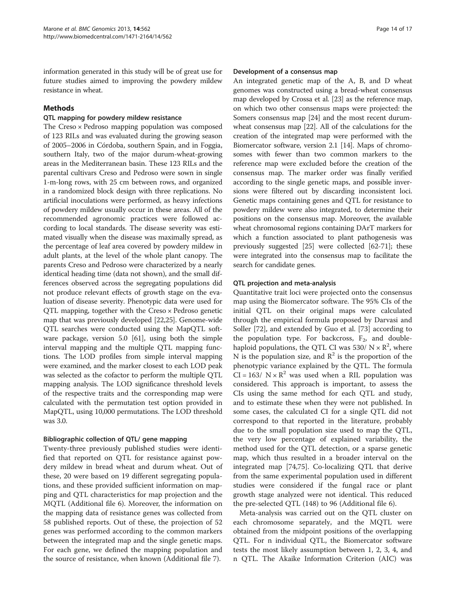information generated in this study will be of great use for future studies aimed to improving the powdery mildew resistance in wheat.

## Methods

### QTL mapping for powdery mildew resistance

The  $Creso \times Pedroso$  mapping population was composed of 123 RILs and was evaluated during the growing season of 2005–2006 in Córdoba, southern Spain, and in Foggia, southern Italy, two of the major durum-wheat-growing areas in the Mediterranean basin. These 123 RILs and the parental cultivars Creso and Pedroso were sown in single 1-m-long rows, with 25 cm between rows, and organized in a randomized block design with three replications. No artificial inoculations were performed, as heavy infections of powdery mildew usually occur in these areas. All of the recommended agronomic practices were followed according to local standards. The disease severity was estimated visually when the disease was maximally spread, as the percentage of leaf area covered by powdery mildew in adult plants, at the level of the whole plant canopy. The parents Creso and Pedroso were characterized by a nearly identical heading time (data not shown), and the small differences observed across the segregating populations did not produce relevant effects of growth stage on the evaluation of disease severity. Phenotypic data were used for QTL mapping, together with the Creso × Pedroso genetic map that was previously developed [\[22,25\]](#page-15-0). Genome-wide QTL searches were conducted using the MapQTL software package, version 5.0 [\[61\]](#page-16-0), using both the simple interval mapping and the multiple QTL mapping functions. The LOD profiles from simple interval mapping were examined, and the marker closest to each LOD peak was selected as the cofactor to perform the multiple QTL mapping analysis. The LOD significance threshold levels of the respective traits and the corresponding map were calculated with the permutation test option provided in MapQTL, using 10,000 permutations. The LOD threshold was 3.0.

### Bibliographic collection of QTL/ gene mapping

Twenty-three previously published studies were identified that reported on QTL for resistance against powdery mildew in bread wheat and durum wheat. Out of these, 20 were based on 19 different segregating populations, and these provided sufficient information on mapping and QTL characteristics for map projection and the MQTL (Additional file [6\)](#page-14-0). Moreover, the information on the mapping data of resistance genes was collected from 58 published reports. Out of these, the projection of 52 genes was performed according to the common markers between the integrated map and the single genetic maps. For each gene, we defined the mapping population and the source of resistance, when known (Additional file [7](#page-14-0)).

#### Development of a consensus map

An integrated genetic map of the A, B, and D wheat genomes was constructed using a bread-wheat consensus map developed by Crossa et al. [\[23](#page-15-0)] as the reference map, on which two other consensus maps were projected: the Somers consensus map [[24](#page-15-0)] and the most recent durumwheat consensus map [[22\]](#page-15-0). All of the calculations for the creation of the integrated map were performed with the Biomercator software, version 2.1 [\[14\]](#page-15-0). Maps of chromosomes with fewer than two common markers to the reference map were excluded before the creation of the consensus map. The marker order was finally verified according to the single genetic maps, and possible inversions were filtered out by discarding inconsistent loci. Genetic maps containing genes and QTL for resistance to powdery mildew were also integrated, to determine their positions on the consensus map. Moreover, the available wheat chromosomal regions containing DArT markers for which a function associated to plant pathogenesis was previously suggested [\[25\]](#page-15-0) were collected [[62](#page-16-0)-[71](#page-16-0)]; these were integrated into the consensus map to facilitate the search for candidate genes.

### QTL projection and meta-analysis

Quantitative trait loci were projected onto the consensus map using the Biomercator software. The 95% CIs of the initial QTL on their original maps were calculated through the empirical formula proposed by Darvasi and Soller [\[72](#page-16-0)], and extended by Guo et al. [[73\]](#page-16-0) according to the population type. For backcross,  $F_2$ , and doublehaploid populations, the QTL CI was 530/  $N \times R^2$ , where N is the population size, and  $\mathbb{R}^2$  is the proportion of the phenotypic variance explained by the QTL. The formula  $CI = 163/N \times R^2$  was used when a RIL population was considered. This approach is important, to assess the CIs using the same method for each QTL and study, and to estimate these when they were not published. In some cases, the calculated CI for a single QTL did not correspond to that reported in the literature, probably due to the small population size used to map the QTL, the very low percentage of explained variability, the method used for the QTL detection, or a sparse genetic map, which thus resulted in a broader interval on the integrated map [[74,75\]](#page-16-0). Co-localizing QTL that derive from the same experimental population used in different studies were considered if the fungal race or plant growth stage analyzed were not identical. This reduced the pre-selected QTL (148) to 96 (Additional file [6\)](#page-14-0).

Meta-analysis was carried out on the QTL cluster on each chromosome separately, and the MQTL were obtained from the midpoint positions of the overlapping QTL. For n individual QTL, the Biomercator software tests the most likely assumption between 1, 2, 3, 4, and n QTL. The Akaike Information Criterion (AIC) was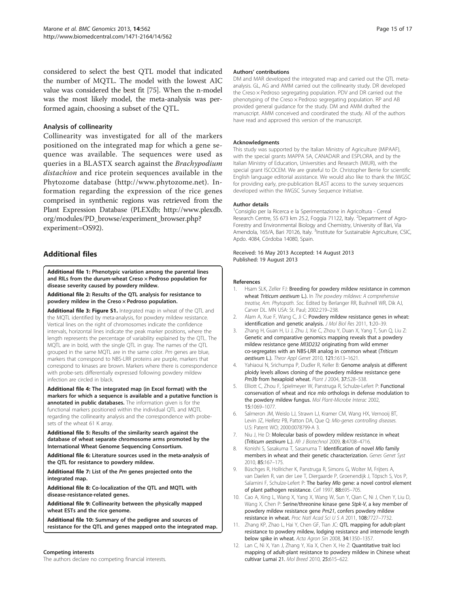<span id="page-14-0"></span>considered to select the best QTL model that indicated the number of MQTL. The model with the lowest AIC value was considered the best fit [\[75\]](#page-16-0). When the n-model was the most likely model, the meta-analysis was performed again, choosing a subset of the QTL.

#### Analysis of collinearity

Collinearity was investigated for all of the markers positioned on the integrated map for which a gene sequence was available. The sequences were used as queries in a BLASTX search against the Brachypodium distachion and rice protein sequences available in the Phytozome database [\(http://www.phytozome.net](http://www.phytozome.net)). Information regarding the expression of the rice genes comprised in synthenic regions was retrieved from the Plant Expression Database (PLEXdb; [http://www.plexdb.](http://www.plexdb.org/modules/PD_browse/experiment_browser.php?experiment=OS92) [org/modules/PD\\_browse/experiment\\_browser.php?](http://www.plexdb.org/modules/PD_browse/experiment_browser.php?experiment=OS92) [experiment=OS92\)](http://www.plexdb.org/modules/PD_browse/experiment_browser.php?experiment=OS92).

## Additional files

[Additional file 1:](http://www.biomedcentral.com/content/supplementary/1471-2164-14-562-S1.docx) Phenotypic variation among the parental lines and RILs from the durum-wheat Creso x Pedroso population for disease severity caused by powdery mildew.

[Additional file 2:](http://www.biomedcentral.com/content/supplementary/1471-2164-14-562-S2.docx) Results of the QTL analysis for resistance to powdery mildew in the Creso  $\times$  Pedroso population.

[Additional file 3: Figure S1.](http://www.biomedcentral.com/content/supplementary/1471-2164-14-562-S3.pdf) Integrated map in wheat of the QTL and the MQTL identified by meta-analysis, for powdery mildew resistance. Vertical lines on the right of chromosomes indicate the confidence intervals, horizontal lines indicate the peak marker positions, where the length represents the percentage of variability explained by the QTL. The MQTL are in bold, with the single QTL in gray. The names of the QTL grouped in the same MQTL are in the same color. Pm genes are blue, markers that correspond to NBS-LRR proteins are purple, markers that correspond to kinases are brown. Markers where there is correspondence with probe-sets differentially expressed following powdery mildew infection are circled in black.

[Additional file 4:](http://www.biomedcentral.com/content/supplementary/1471-2164-14-562-S4.xls) The integrated map (in Excel format) with the markers for which a sequence is available and a putative function is annotated in public databases. The information given is for the functional markers positioned within the individual QTL and MQTL regarding the collinearity analysis and the correspondence with probesets of the wheat 61 K array

[Additional file 5:](http://www.biomedcentral.com/content/supplementary/1471-2164-14-562-S5.xlsx) Results of the similarity search against the database of wheat separate chromosome arms promoted by the International Wheat Genome Sequencing Consortium.

[Additional file 6:](http://www.biomedcentral.com/content/supplementary/1471-2164-14-562-S6.docx) Literature sources used in the meta-analysis of the QTL for resistance to powdery mildew.

[Additional file 7:](http://www.biomedcentral.com/content/supplementary/1471-2164-14-562-S7.docx) List of the Pm genes projected onto the integrated map.

[Additional file 8:](http://www.biomedcentral.com/content/supplementary/1471-2164-14-562-S8.docx) Co-localization of the QTL and MQTL with disease-resistance-related genes.

[Additional file 9:](http://www.biomedcentral.com/content/supplementary/1471-2164-14-562-S9.xlsx) Collinearity between the physically mapped wheat ESTs and the rice genome.

[Additional file 10:](http://www.biomedcentral.com/content/supplementary/1471-2164-14-562-S10.xls) Summary of the pedigree and sources of resistance for the QTL and genes mapped onto the integrated map.

#### Competing interests

The authors declare no competing financial interests.

#### Authors' contributions

DM and MAR developed the integrated map and carried out the QTL metaanalysis. GL, AG and AMM carried out the collinearity study. DR developed the Creso × Pedroso segregating population. PDV and DR carried out the phenotyping of the Creso × Pedroso segregating population. RP and AB provided general guidance for the study. DM and AMM drafted the manuscript. AMM conceived and coordinated the study. All of the authors have read and approved this version of the manuscript.

#### Acknowledgments

This study was supported by the Italian Ministry of Agriculture (MiPAAF), with the special grants MAPPA 5A, CANADAIR and ESPLORA, and by the Italian Ministry of Education, Universities and Research (MIUR), with the special grant ISCOCEM. We are grateful to Dr. Christopher Berrie for scientific English language editorial assistance. We would also like to thank the IWGSC for providing early, pre-publication BLAST access to the survey sequences developed within the IWGSC Survey Sequence Initiative.

#### Author details

<sup>1</sup> Consiglio per la Ricerca e la Sperimentazione in Agricoltura - Cereal Research Centre, SS 673 km 25.2, Foggia 71122, Italy. <sup>2</sup>Department of Agro-Forestry and Environmental Biology and Chemistry, University of Bari, Via Amendola, 165/A, Bari 70126, Italy. <sup>3</sup>Institute for Sustainable Agriculture, CSIC Apdo. 4084, Córdoba 14080, Spain.

Received: 16 May 2013 Accepted: 14 August 2013 Published: 19 August 2013

#### References

- 1. Hsam SLK, Zeller FJ: Breeding for powdery mildew resistance in common wheat Triticum aestivum L.). In The powdery mildews: A comprehensive treatise, Am. Phytopath. Soc. Edited by Berlanger RR, Bushnell WR, Dik AJ, Carver DL. MN USA: St. Paul; 2002:219–238.
- 2. Alam A, Xue F, Wang C, Ji C: Powdery mildew resistance genes in wheat: identification and genetic analysis. J Mol Biol Res 2011, 1:20–39.
- 3. Zhang H, Guan H, Li J, Zhu J, Xie C, Zhou Y, Duan X, Yang T, Sun Q, Liu Z: Genetic and comparative genomics mapping reveals that a powdery mildew resistance gene Ml3D232 originating from wild emmer co-segregates with an NBS-LRR analog in common wheat (Triticum aestivum L.). Theor Appl Genet 2010, 121:1613–1621.
- 4. Yahiaoui N, Srichumpa P, Dudler R, Keller B: Genome analysis at different ploidy levels allows cloning of the powdery mildew resistance gene Pm3b from hexaploid wheat. Plant J 2004, 37:528-538.
- 5. Elliott C, Zhou F, Spielmeyer W, Panstruga R, Schulze-Lefert P: Functional conservation of wheat and rice mlo orthologs in defense modulation to the powdery mildew fungus. Mol Plant-Microbe Interac 2002, 15:1069–1077.
- 6. Salmeron JM, Weislo LJ, Strawn LJ, Kramer CM, Wang HX, Vernooij BT, Levin JZ, Heifetz PB, Patton DA, Que Q: Mlo-genes controlling diseases. U.S: Patent WO; 2000:0078799-A 3.
- 7. Niu J, He D: Molecular basis of powdery mildew resistance in wheat (Triticum aestivum L.). Afr J Biotechnol 2009, 8:4708–4716.
- 8. Konishi S, Sasakuma T, Sasanuma T: Identification of novel Mlo family members in wheat and their genetic characterization. Genes Genet Syst 2010, 85:167–175.
- 9. Büschges R, Hollricher K, Panstruga R, Simons G, Wolter M, Frijters A, van Daelen R, van der Lee T, Diergaarde P, Groenendijk J, Töpsch S, Vos P, Salamini F, Schulze-Lefert P: The barley Mlo gene: a novel control element of plant pathogen resistance. Cell 1997, 88:695–705.
- 10. Cao A, Xing L, Wang X, Yang X, Wang W, Sun Y, Qian C, Ni J, Chen Y, Liu D, Wang X, Chen P: Serine/threonine kinase gene Stpk-V, a key member of powdery mildew resistance gene Pm21, confers powdery mildew resistance in wheat. Proc Natl Acad Sci U S A 2011, 108:7727–7732.
- 11. Zhang KP, Zhao L, Hai Y, Chen GF, Tian JC: QTL mapping for adult-plant resistance to powdery mildew, lodging resistance and internode length below spike in wheat. Acta Agron Sin 2008, 34:1350–1357.
- 12. Lan C, Ni X, Yan J, Zhang Y, Xia X, Chen X, He Z: Quantitative trait loci mapping of adult-plant resistance to powdery mildew in Chinese wheat cultivar Lumai 21. Mol Breed 2010, 25:615–622.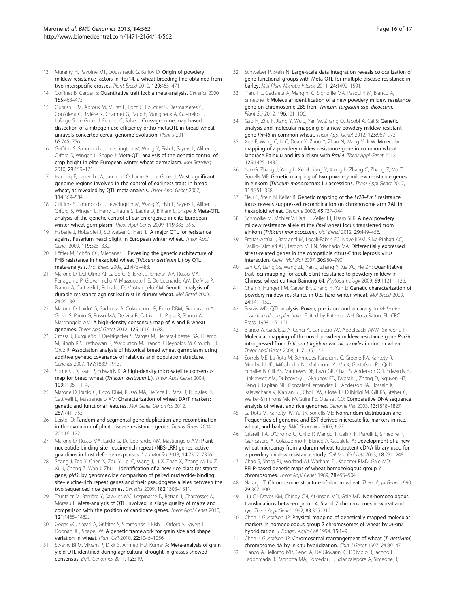- <span id="page-15-0"></span>13. Muranty H, Pavoine MT, Doussinault G, Barloy D: Origin of powdery mildew resistance factors in RE714, a wheat breeding line obtained from two interspecific crosses. Plant Breed 2010, 129:465–471.
- 14. Goffinet B, Gerber S: Quantitative trait loci: a meta-analysis. Genetics 2000, 155:463–473.
- 15. Quraishi UM, Abrouk M, Murat F, Pont C, Foucrier S, Desmaizieres G, Confolent C, Rivière N, Charmet G, Paux E, Murigneux A, Guerreiro L, Lafarge S, Le Gouis J, Feuillet C, Salse J: Cross-genome map based dissection of a nitrogen use efficiency ortho-metaQTL in bread wheat unravels concerted cereal genome evolution. Plant J 2011, 65:745–756.
- 16. Griffiths S, Simmonds J, Leverington M, Wang Y, Fish L, Sayers L, Alibert L, Orford S, Wingen L, Snape J: Meta-QTL analysis of the genetic control of crop height in elite European winter wheat germplasm. Mol Breeding 2010, 29:159–171.
- 17. Hanocq E, Laperche A, Jaminon O, Laine AL, Le Gouis J: Most significant genome regions involved in the control of earliness traits in bread wheat, as revealed by QTL meta-analysis. Theor Appl Genet 2007, 114:569–584.
- 18. Griffiths S, Simmonds J, Leverington M, Wang Y, Fish L, Sayers L, Alibert L, Orford S, Wingen L, Herry L, Faure S, Laurie D, Bilham L, Snape J: Meta-QTL analysis of the genetic control of ear emergence in elite European winter wheat germplasm. Theor Appl Genet 2009, 119:383–395.
- 19. Häberle J, Holzapfel J, Schweizer G, Hartl L: A major QTL for resistance against Fusarium head blight in European winter wheat. Theor Appl Genet 2009, 119:325–332.
- 20. Löffler M, Schön CC, Miedaner T: Revealing the genetic architecture of FHB resistance in hexaploid wheat (Triticum aestivum L.) by QTL meta-analysis. Mol Breed 2009, 23:473–488.
- 21. Marone D, Del Olmo AI, Laidò G, Sillero JC, Emeran AA, Russo MA, Ferragonio P, Giovanniello V, Mazzucotelli E, De Leonardis AM, De Vita P, Blanco A, Cattivelli L, Rubiales D, Mastrangelo AM: Genetic analysis of durable resistance against leaf rust in durum wheat. Mol Breed 2009, 24:25–39.
- 22. Marone D, Laido' G, Gadaleta A, Colasuonno P, Ficco DBM, Giancaspro A, Giove S, Panio G, Russo MA, De Vita P, Cattivelli L, Papa R, Blanco A, Mastrangelo AM: A high-density consensus map of A and B wheat genomes. Theor Appl Genet 2012, 125:1619–1638.
- 23. Crossa J, Burgueño J, Dreisigacker S, Vargas M, Herrera-Foessel SA, Lillemo M, Singh RP, Trethowan R, Warburton M, Franco J, Reynolds M, Crouch JH, Ortiz R: Association analysis of historical bread wheat germplasm using additive genetic covariance of relatives and population structure. Genetics 2007, 177:1889–1913.
- 24. Somers JD, Isaac P, Edwards K: A high-density microsatellite consensus map for bread wheat (Triticum aestivum L.). Theor Appl Genet 2004, 109:1105–1114.
- 25. Marone D, Panio G, Ficco DBM, Russo MA, De Vita P, Papa R, Rubiales D, Cattivelli L, Mastrangelo AM: Characterization of wheat DArT markers: genetic and functional features. Mol Genet Genomics 2012, 287:741–753.
- 26. Leister D: Tandem and segmental gene duplication and recombination in the evolution of plant disease resistance genes. Trends Genet 2004, 20:116–122.
- 27. Marone D, Russo MA, Laidò G, De Leonardis AM, Mastrangelo AM: Plant nucleotide binding site–leucine-rich repeat (NBS-LRR) genes: active guardians in host defense responses. Int J Mol Sci 2013, 14:7302–7326.
- 28. Shang J, Tao Y, Chen X, Zou Y, Lei C, Wang J, Li X, Zhao X, Zhang M, Lu Z, Xu J, Cheng Z, Wan J, Zhu L: Identification of a new rice blast resistance gene, pid3, by genomewide comparison of paired nucleotide-binding site–leucine-rich repeat genes and their pseudogene alleles between the two sequenced rice genomes. Genetics 2009, 182:1303–1311.
- 29. Truntzler M, Barrière Y, Sawkins MC, Lespinasse D, Betran J, Charcosset A, Moreau L: Meta-analysis of QTL involved in silage quality of maize and comparison with the position of candidate genes. Theor Appl Genet 2010, 121:1465–1482.
- 30. Gegas VC, Nazari A, Griffiths S, Simmonds J, Fish L, Orford S, Sayers L, Doonan JH, Snape JW: A genetic framework for grain size and shape variation in wheat. Plant Cell 2010, 22:1046-1056.
- 31. Swamy BPM, Vikram P, Dixit S, Ahmed HU, Kumar A: Meta-analysis of grain yield QTL identified during agricultural drought in grasses showed consensus. BMC Genomics 2011, 12:319.
- 32. Schweizer P, Stein N: Large-scale data integration reveals colocalization of gene functional groups with Meta-QTL for multiple disease resistance in barley. Mol Plant-Microbe Interac 2011, 24:1492–1501.
- 33. Piarulli L, Gadaleta A, Mangini G, Signorile MA, Pasquini M, Blanco A, Simeone R: Molecular identification of a new powdery mildew resistance gene on chromosome 2BS from Triticum turgidum ssp. dicoccum. Plant Sci 2012, 196:101–106.
- 34. Gao H, Zhu F, Jiang Y, Wu J, Yan W, Zhang Q, Jacobi A, Cai S: Genetic analysis and molecular mapping of a new powdery mildew resistant gene Pm46 in common wheat. Theor Appl Genet 2012, 125:967-973.
- 35. Xue F, Wang C, Li C, Duan X, Zhou Y, Zhao N, Wang Y, Ji W: Molecular mapping of a powdery mildew resistance gene in common wheat landrace Baihulu and its allelism with Pm24. Theor Appl Genet 2012, 125:1425–1432.
- 36. Yao G, Zhang J, Yang L, Xu H, Jiang Y, Xiong L, Zhang C, Zhang Z, Ma Z, Sorrells ME: Genetic mapping of two powdery mildew resistance genes in einkorn (Triticum monococcum L.) accessions. Theor Appl Genet 2007, 114:351–358.
- 37. Neu C, Stein N, Keller B: Genetic mapping of the Lr20-Pm1 resistance locus reveals suppressed recombination on chromosome arm 7AL in hexaploid wheat. Genome 2002, 45:737–744.
- Schmolke M, Mohler V, Hartl L, Zeller FJ, Hsam SLK: A new powdery mildew resistance allele at the Pm4 wheat locus transferred from einkorn (Triticum monococcum). Mol Breed 2012, 29:449–456.
- 39. Freitas-Astúa J, Bastianel M, Locali-Fabris EC, Novelli VM, Silva-Pinhati AC, Basílio-Palmieri AC, Targon MLPN, Machado MA: Differentially expressed stress-related genes in the compatible citrus-Citrus leprosis virus interaction. Genet Mol Biol 2007, 30:980–990.
- 40. Lan CX, Liang SS, Wang ZL, Yan J, Zhang Y, Xia XC, He ZH: Quantitative trait loci mapping for adult-plant resistance to powdery mildew in Chinese wheat cultivar Bainong 64. Phytopathology 2009, 99:1121–1126.
- 41. Chen Y, Hunger RM, Carver BF, Zhang H, Yan L: Genetic characterization of powdery mildew resistance in U.S. hard winter wheat. Mol Breed 2009, 24:141–152.
- 42. Beavis WD: QTL analysis: Power, precision, and accuracy. In Molecular dissection of complex traits. Edited by Paterson AH. Boca Raton, FL: CRC Press; 1998:145–161.
- 43. Blanco A, Gadaleta A, Cenci A, Carluccio AV, Abdelbacki AMM, Simeone R: Molecular mapping of the novel powdery mildew resistance gene Pm36 introgressed from Triticum turgidum var. dicoccoides in durum wheat. Theor Appl Genet 2008, 117:135–142.
- 44. Sorrels ME, La Rota M, Bermudes-Kandianis C, Greene RA, Kantety R, Munkvold JD, Miftahudin NI, Mahmoud A, Ma X, Gustafson PJ, Qi LL, Echalier B, Gill BS, Matthews DE, Lazo GR, Chao S, Anderson OD, Edwards H, Linkiewicz AM, Dubcovsky J, Akhunov ED, Dvorak J, Zhang D, Nguyen HT, Peng J, Lapitan NL, Gonzalez-Hernandez JL, Anderson JA, Hossain K, Kalavacharla V, Kianian SF, Choi DW, Close TJ, Dilbirligi M, Gill KS, Steber C, Walker-Simmons MK, McGuire PE, Qualset CO: Comparative DNA sequence analysis of wheat and rice genomes. Genome Res 2003, 13:1818–1827.
- 45. La Rota M, Kantety RV, Yu JK, Sorrells ME: Nonrandom distribution and frequencies of genomic and EST-derived microsatellite markers in rice, wheat, and barley. BMC Genomics 2005, 6:23.
- 46. Cifarelli RA, D'Onofrio O, Grillo R, Mango T, Cellini F, Piarulli L, Simeone R, Giancaspro A, Colasuonno P, Blanco A, Gadaleta A: Development of a new wheat microarray from a durum wheat totipotent cDNA library used for a powdery mildew resistance study. Cell Mol Biol Lett 2013, 18:231–248.
- 47. Chao S, Sharp PJ, Worland AJ, Warham EJ, Koebner RMD, Gale MD: RFLP-based genetic maps of wheat homoeologous group 7 chromosomes. Theor Appl Genet 1989, 78:495–504.
- 48. Naranjo T: Chromosome structure of durum wheat. Theor Appl Genet 1990, 79:397–400.
- 49. Liu CJ, Devos KM, Chinoy CN, Atkinson MD, Gale MD: Non-homoeologous translocations between group 4, 5 and 7 chromosomes in wheat and rye. Theor Appl Genet 1992, 83:305–312.
- 50. Chen J, Gustafson JP: Physical mapping of genetically mapped molecular markers in homoeologous group 7 chromosomes of wheat by in-situ hybridization. J Jiangsu Agric Coll 1994, 15:1-9.
- 51. Chen J, Gustafson JP: Chromosomal rearrangement of wheat (T. aestivum) chromosome 4A by in situ hybridization. Chin J Genet 1997, 24:39–47.
- 52. Blanco A, Bellomo MP, Cenci A, De Giovanni C, D'Ovidio R, Iacono E, Laddomada B, Pagnotta MA, Porceddu E, Sciancalepore A, Simeone R,